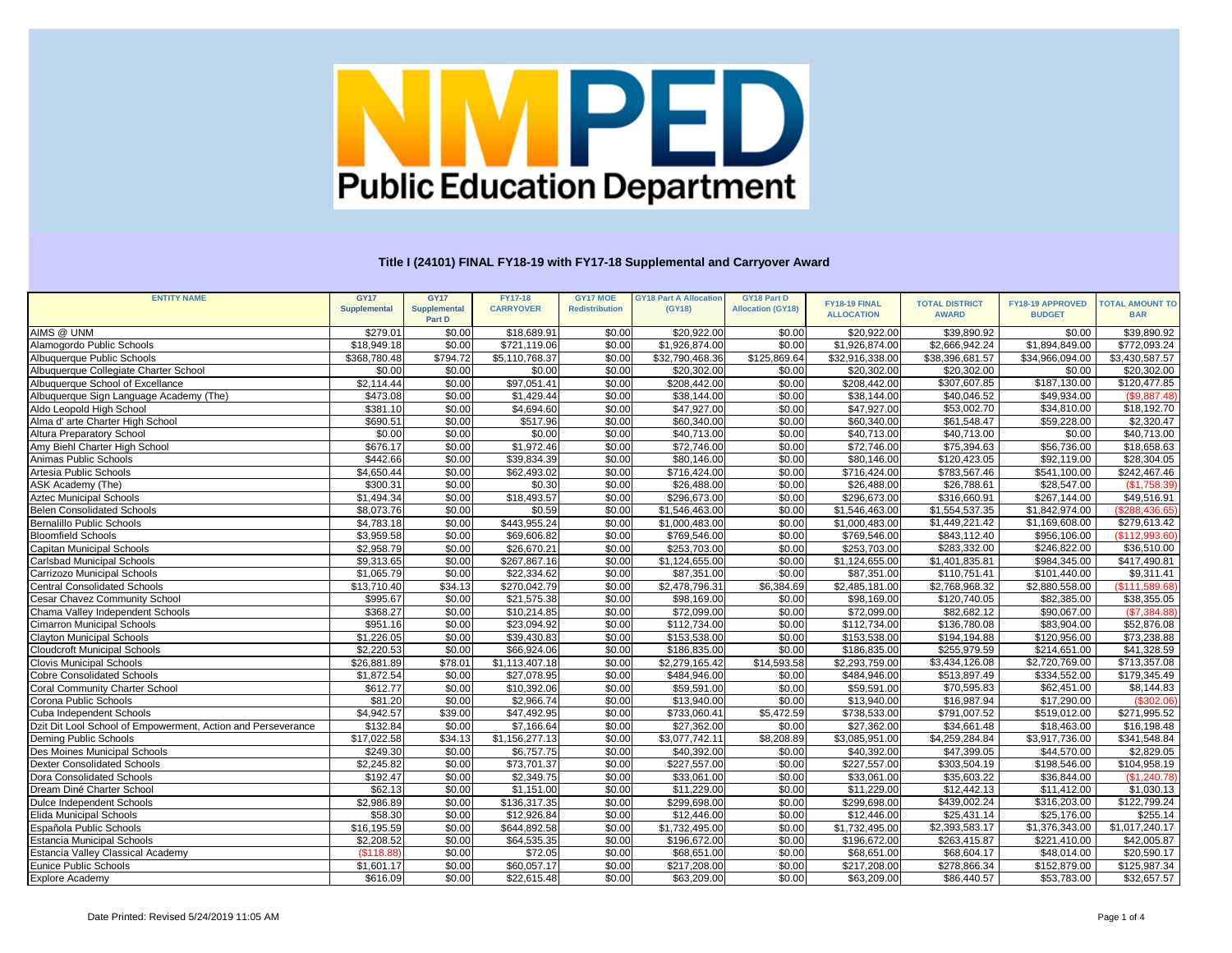| <b>CARRYOVER</b><br><b>Redistribution</b><br><b>Allocation (GY18)</b><br><b>Supplemental</b><br><b>Supplemental</b><br>(GY18)<br><b>ALLOCATION</b><br><b>AWARD</b><br><b>BAR</b><br><b>BUDGET</b><br>Part D<br>\$39,890.92<br>AIMS @ UNM<br>\$279.01<br>\$0.00<br>\$20,922.00<br>\$20,922.00<br>\$39,890.92<br>\$0.00<br>\$18,689.91<br>\$0.00<br>\$0.00<br>$\overline{$2,666,942.24}$<br>\$1,894,849.00<br>Alamogordo Public Schools<br>\$18,949.18<br>\$0.00<br>\$721,119.06<br>\$1,926,874.00<br>\$0.00<br>\$1,926,874.00<br>\$772,093.24<br>\$0.00<br>\$794.72<br>\$125,869.64<br>\$38,396,681.57<br>\$368,780.48<br>\$5,110,768.37<br>\$32,916,338.00<br>\$34,966,094.00<br>\$3,430,587.57<br>Albuquerque Public Schools<br>\$0.00<br>\$32,790,468.36<br>\$0.00<br>\$20,302.00<br>Albuquerque Collegiate Charter School<br>\$0.00<br>\$0.00<br>\$0.00<br>\$0.00<br>\$20,302.00<br>\$20,302.00<br>\$0.00<br>\$20,302.00<br>\$97,051.41<br>\$307,607.85<br>\$187,130.00<br>$\overline{$}120,477.85$<br>Albuquerque School of Excellance<br>\$2,114.44<br>\$0.00<br>\$208,442.00<br>\$0.00<br>\$208,442.00<br>\$0.00<br>\$0.00<br>\$1,429.44<br>\$0.00<br>\$473.08<br>\$38,144.00<br>\$38,144.00<br>\$40,046.52<br>\$49,934.00<br>Albuquerque Sign Language Academy (The)<br>\$0.00<br>\$0.00<br>\$0.00<br>\$381.10<br>\$4,694.60<br>\$0.00<br>\$47,927.00<br>\$47,927.00<br>\$53,002.70<br>\$34,810.00<br>Aldo Leopold High School<br>\$690.51<br>\$0.00<br>\$0.00<br>\$517.96<br>\$0.00<br>\$60,340.00<br>\$60,340.00<br>\$61,548.47<br>\$59,228.00<br>Alma d' arte Charter High School<br>\$0.00<br>\$0.00<br>\$0.00<br>\$0.00<br>\$0.00<br>\$40,713.00<br>\$40,713.00<br>\$40,713.00<br>\$0.00<br><b>Altura Preparatory School</b><br>\$676.17<br>\$0.00<br>\$0.00<br>\$1,972.46<br>\$0.00<br>\$72,746.00<br>\$72,746.00<br>\$75,394.63<br>\$56,736.00<br>\$18,658.63<br>Amy Biehl Charter High School<br>\$442.66<br>\$0.00<br>\$39,834.39<br>\$80,146.00<br>\$0.00<br>\$80,146.00<br>\$120,423.05<br>\$92,119.00<br>\$28,304.05<br>Animas Public Schools<br>\$0.00<br>\$4,650.44<br>\$0.00<br>\$0.00<br>Artesia Public Schools<br>\$62,493.02<br>\$0.00<br>\$716,424.00<br>\$716,424.00<br>\$783,567.46<br>\$541,100.00<br>\$242,467.46<br>ASK Academy (The)<br>\$0.00<br>\$0.30<br>\$26,788.61<br>\$300.31<br>\$0.00<br>\$26,488.00<br>\$0.00<br>\$28,547.00<br>\$26,488.00<br>\$18,493.57<br>\$0.00<br>\$0.00<br>\$316,660.91<br>\$267,144.00<br>\$1,494.34<br>\$0.00<br>\$296,673.00<br>\$296,673.00<br>\$49,516.91<br><b>Aztec Municipal Schools</b><br>\$1,842,974.00<br>\$8,073.76<br>\$0.00<br>\$0.59<br>\$0.00<br>\$1,554,537.35<br>\$0.00<br>\$1,546,463.00<br>\$1,546,463.00<br><b>Belen Consolidated Schools</b><br>\$443,955.24<br>\$0.00<br>\$1,449,221.42<br>\$4,783.18<br>\$0.00<br>\$0.00<br>\$1,000,483.00<br>\$1,000,483.00<br>\$1,169,608.00<br>\$279,613.42<br>Bernalillo Public Schools<br>\$0.00<br>\$0.00<br>\$3,959.58<br>\$69,606.82<br>\$0.00<br>\$769,546.00<br>\$769,546.00<br>\$843,112.40<br>\$956,106.00<br><b>Bloomfield Schools</b><br>\$0.00<br>\$2,958.79<br>\$0.00<br>\$26,670.21<br>\$253,703.00<br>\$253,703.00<br>\$283,332.00<br>\$246,822.00<br>\$36,510.00<br>Capitan Municipal Schools<br>\$0.00<br>\$0.00<br>\$0.00<br>\$9,313.65<br>\$267,867.16<br>\$0.00<br>$\overline{\$1,124,655.00}$<br>$\overline{31,124,655.00}$<br>\$984,345.00<br><b>Carlsbad Municipal Schools</b><br>\$1,401,835.81<br>\$417,490.81<br>\$0.00<br>\$0.00<br>\$1,065.79<br>\$0.00<br>\$101,440.00<br>\$22,334.62<br>\$87,351.00<br>\$87,351.00<br>\$110,751.41<br>Carrizozo Municipal Schools<br>\$13,710.40<br>\$34.13<br>\$270,042.79<br>\$0.00<br>\$2,478,796.31<br>\$6,384.69<br>\$2,485,181.00<br>\$2,768,968.32<br><b>Central Consolidated Schools</b><br>\$2,880,558.00<br>\$0.00<br>\$82,385.00<br><b>Cesar Chavez Community School</b><br>\$995.67<br>\$21,575.38<br>\$0.00<br>\$98,169.00<br>\$0.00<br>\$98,169.00<br>\$120,740.05<br>\$38,355.05<br>\$368.27<br>\$0.00<br>\$10,214.85<br>\$72,099.00<br>\$0.00<br>\$72,099.00<br>\$0.00<br>\$82,682.12<br>\$90,067.00<br>\$23,094.92<br>\$136,780.08<br>$\overline{$83,904.00}$<br>\$951.16<br>\$0.00<br>\$112,734.00<br>\$0.00<br>\$112,734.00<br>\$52,876.08<br>\$0.00<br>\$1,226.05<br>\$0.00<br>\$39,430.83<br>\$153,538.00<br>\$0.00<br>\$153,538.00<br>\$120,956.00<br>\$73,238.88<br><b>Clayton Municipal Schools</b><br>\$0.00<br>\$194,194.88<br>\$255,979.59<br>$\overline{$214,651.00}$<br>\$2,220.53<br>\$66,924.06<br>\$0.00<br>\$0.00<br>\$0.00<br>\$186,835.00<br>\$186,835.00<br><b>Cloudcroft Municipal Schools</b><br>\$1,113,407.18<br>$\overline{$2,293,759.00}$<br>\$26,881.89<br>\$78.01<br>\$0.00<br>\$2,279,165.42<br>\$14,593.58<br>\$3,434,126.08<br>\$2,720,769.00<br>\$27,078.95<br>\$513,897.49<br>\$334,552.00<br>\$1,872.54<br>\$0.00<br>\$0.00<br>\$484,946.00<br>\$0.00<br>\$484,946.00<br>\$179,345.49<br><b>Cobre Consolidated Schools</b><br>\$0.00<br>\$612.77<br>\$0.00<br>\$10,392.06<br>\$59,591.00<br>\$0.00<br>\$59,591.00<br>\$70,595.83<br>\$62,451.00<br>\$8,144.83<br><b>Coral Community Charter School</b><br>\$0.00<br>\$81.20<br>\$0.00<br>\$2,966.74<br>\$17,290.00<br>Corona Public Schools<br>\$0.00<br>\$13,940.00<br>\$13,940.00<br>\$16,987.94<br>\$4,942.57<br>\$39.00<br>\$47,492.95<br>\$0.00<br>\$733,060.41<br>\$5,472.59<br>\$738,533.00<br>\$791,007.52<br>\$519,012.00<br>\$132.84<br>\$0.00<br>\$7,166.64<br>\$0.00<br>\$27,362.00<br>\$0.00<br>\$27,362.00<br>\$34,661.48<br>\$18,463.00<br>Dzit Dit Lool School of Empowerment, Action and Perseverance<br>\$0.00<br>\$17,022.58<br>\$34.13<br>\$1,156,277.13<br>\$3,077,742.11<br>\$8,208.89<br>\$3,085,951.00<br>\$4,259,284.84<br>\$3,917,736.00<br>\$249.30<br>\$6,757.75<br>\$47,399.05<br>\$44,570.00<br>\$0.00<br>\$0.00<br>\$40,392.00<br>\$0.00<br>\$40,392.00<br>\$2,245.82<br>\$0.00<br>\$73,701.37<br>\$227,557.00<br>\$227,557.00<br>\$303,504.19<br>\$0.00<br>\$0.00<br>\$198,546.00<br>\$0.00<br>\$2,349.75<br>\$33,061.00<br>\$35,603.22<br>\$36,844.00<br>\$192.47<br>\$0.00<br>\$0.00<br>\$33,061.00<br>\$62.13<br>\$0.00<br>\$1,151.00<br>\$11,229.00<br>\$0.00<br>\$11,229.00<br>\$12,442.13<br>\$0.00<br>\$11,412.00<br>\$2,986.89<br>\$136,317.35<br>\$299,698.00<br>\$439,002.24<br>\$316,203.00<br>\$122,799.24<br>\$0.00<br>\$0.00<br>\$299,698.00<br>\$0.00<br>\$58.30<br>\$12,926.84<br>\$0.00<br>\$12,446.00<br>\$0.00<br>\$12,446.00<br>\$25,431.14<br>\$25,176.00<br>\$0.00<br>\$2,393,583.17<br>\$16,195.59<br>\$0.00<br>\$644,892.58<br>\$0.00<br>\$1,732,495.00<br>\$1,376,343.00<br>\$0.00<br>\$1,732,495.00<br>\$2,208.52<br>\$0.00<br>\$64,535.35<br>\$0.00<br>\$0.00<br>\$196,672.00<br>\$263,415.87<br>\$221,410.00<br>\$196,672.00<br>\$0.00<br>\$0.00<br>(\$118.88)<br>\$72.05<br>\$0.00<br>\$68,651.00<br>\$68,651.00<br>\$68,604.17<br>\$48,014.00<br>\$0.00<br>\$60,057.17<br>\$217,208.00<br>\$278,866.34<br>\$152,879.00<br>\$1,601.17<br>\$0.00<br>\$0.00<br>\$217,208.00<br>\$125,987.34<br>\$0.00<br>\$616.09<br>\$22,615.48<br>\$0.00<br>\$63,209.00<br>\$0.00<br>\$63,209.00<br>\$86,440.57<br>\$53,783.00 | <b>ENTITY NAME</b>                       | <b>GY17</b> | <b>GY17</b> | <b>FY17-18</b> | <b>GY17 MOE</b> | <b>GY18 Part A Allocation</b> | <b>GY18 Part D</b> |               |                       |                         |                        |
|-------------------------------------------------------------------------------------------------------------------------------------------------------------------------------------------------------------------------------------------------------------------------------------------------------------------------------------------------------------------------------------------------------------------------------------------------------------------------------------------------------------------------------------------------------------------------------------------------------------------------------------------------------------------------------------------------------------------------------------------------------------------------------------------------------------------------------------------------------------------------------------------------------------------------------------------------------------------------------------------------------------------------------------------------------------------------------------------------------------------------------------------------------------------------------------------------------------------------------------------------------------------------------------------------------------------------------------------------------------------------------------------------------------------------------------------------------------------------------------------------------------------------------------------------------------------------------------------------------------------------------------------------------------------------------------------------------------------------------------------------------------------------------------------------------------------------------------------------------------------------------------------------------------------------------------------------------------------------------------------------------------------------------------------------------------------------------------------------------------------------------------------------------------------------------------------------------------------------------------------------------------------------------------------------------------------------------------------------------------------------------------------------------------------------------------------------------------------------------------------------------------------------------------------------------------------------------------------------------------------------------------------------------------------------------------------------------------------------------------------------------------------------------------------------------------------------------------------------------------------------------------------------------------------------------------------------------------------------------------------------------------------------------------------------------------------------------------------------------------------------------------------------------------------------------------------------------------------------------------------------------------------------------------------------------------------------------------------------------------------------------------------------------------------------------------------------------------------------------------------------------------------------------------------------------------------------------------------------------------------------------------------------------------------------------------------------------------------------------------------------------------------------------------------------------------------------------------------------------------------------------------------------------------------------------------------------------------------------------------------------------------------------------------------------------------------------------------------------------------------------------------------------------------------------------------------------------------------------------------------------------------------------------------------------------------------------------------------------------------------------------------------------------------------------------------------------------------------------------------------------------------------------------------------------------------------------------------------------------------------------------------------------------------------------------------------------------------------------------------------------------------------------------------------------------------------------------------------------------------------------------------------------------------------------------------------------------------------------------------------------------------------------------------------------------------------------------------------------------------------------------------------------------------------------------------------------------------------------------------------------------------------------------------------------------------------------------------------------------------------------------------------------------------------------------------------------------------------------------------------------------------------------------------------------------------------------------------------------------------------------------------------------------------------------------------------------------------------------------------------------------------------------------------------------------------------------------------------------------------------------------------------------------------------------------------------------------------------------------------------------------------------------------------------------------------------------------------------------------------------------------------------------------------------------------------------------------------------------------------------------------------------------------------------------------------------------------------------------------------------------------------------------------------------------------------------------------------------------------------------------------------------------------------------------------------------------------------------------------------------------------------------------------------------------------------------------------------------------------------------------------------------------------------------------------------------------------------------------------------------------------------------------------------------------------------------------------------------------------------------------------------------------------------------------------------------------------------------------------------------------------------------------------------------------|------------------------------------------|-------------|-------------|----------------|-----------------|-------------------------------|--------------------|---------------|-----------------------|-------------------------|------------------------|
|                                                                                                                                                                                                                                                                                                                                                                                                                                                                                                                                                                                                                                                                                                                                                                                                                                                                                                                                                                                                                                                                                                                                                                                                                                                                                                                                                                                                                                                                                                                                                                                                                                                                                                                                                                                                                                                                                                                                                                                                                                                                                                                                                                                                                                                                                                                                                                                                                                                                                                                                                                                                                                                                                                                                                                                                                                                                                                                                                                                                                                                                                                                                                                                                                                                                                                                                                                                                                                                                                                                                                                                                                                                                                                                                                                                                                                                                                                                                                                                                                                                                                                                                                                                                                                                                                                                                                                                                                                                                                                                                                                                                                                                                                                                                                                                                                                                                                                                                                                                                                                                                                                                                                                                                                                                                                                                                                                                                                                                                                                                                                                                                                                                                                                                                                                                                                                                                                                                                                                                                                                                                                                                                                                                                                                                                                                                                                                                                                                                                                                                                                                                                                                                                                                                                                                                                                                                                                                                                                                                                                                                                                                                                                                         |                                          |             |             |                |                 |                               |                    | FY18-19 FINAL | <b>TOTAL DISTRICT</b> | <b>FY18-19 APPROVED</b> | <b>TOTAL AMOUNT TO</b> |
|                                                                                                                                                                                                                                                                                                                                                                                                                                                                                                                                                                                                                                                                                                                                                                                                                                                                                                                                                                                                                                                                                                                                                                                                                                                                                                                                                                                                                                                                                                                                                                                                                                                                                                                                                                                                                                                                                                                                                                                                                                                                                                                                                                                                                                                                                                                                                                                                                                                                                                                                                                                                                                                                                                                                                                                                                                                                                                                                                                                                                                                                                                                                                                                                                                                                                                                                                                                                                                                                                                                                                                                                                                                                                                                                                                                                                                                                                                                                                                                                                                                                                                                                                                                                                                                                                                                                                                                                                                                                                                                                                                                                                                                                                                                                                                                                                                                                                                                                                                                                                                                                                                                                                                                                                                                                                                                                                                                                                                                                                                                                                                                                                                                                                                                                                                                                                                                                                                                                                                                                                                                                                                                                                                                                                                                                                                                                                                                                                                                                                                                                                                                                                                                                                                                                                                                                                                                                                                                                                                                                                                                                                                                                                                         |                                          |             |             |                |                 |                               |                    |               |                       |                         |                        |
|                                                                                                                                                                                                                                                                                                                                                                                                                                                                                                                                                                                                                                                                                                                                                                                                                                                                                                                                                                                                                                                                                                                                                                                                                                                                                                                                                                                                                                                                                                                                                                                                                                                                                                                                                                                                                                                                                                                                                                                                                                                                                                                                                                                                                                                                                                                                                                                                                                                                                                                                                                                                                                                                                                                                                                                                                                                                                                                                                                                                                                                                                                                                                                                                                                                                                                                                                                                                                                                                                                                                                                                                                                                                                                                                                                                                                                                                                                                                                                                                                                                                                                                                                                                                                                                                                                                                                                                                                                                                                                                                                                                                                                                                                                                                                                                                                                                                                                                                                                                                                                                                                                                                                                                                                                                                                                                                                                                                                                                                                                                                                                                                                                                                                                                                                                                                                                                                                                                                                                                                                                                                                                                                                                                                                                                                                                                                                                                                                                                                                                                                                                                                                                                                                                                                                                                                                                                                                                                                                                                                                                                                                                                                                                         |                                          |             |             |                |                 |                               |                    |               |                       |                         |                        |
| (\$9,887.48)<br>\$18,192.70<br>\$2,320.47<br>$\overline{$40,713.00}$<br>(\$1,758.39)<br>(\$288,436.65)<br>(\$112,993.60)<br>\$9,311.41<br>(\$111,589.68)<br>(\$7,384.88)<br>$\overline{41,328.59}$<br>\$713,357.08<br>(\$302.06)<br>\$271,995.52<br>$\overline{$16,198.48}$<br>\$341,548.84<br>\$2,829.05<br>\$104,958.19<br>(\$1,240.78)<br>\$1,030.13<br>\$255.14<br>\$1,017,240.17<br>\$42,005.87<br>\$20,590.17<br>\$32,657.57                                                                                                                                                                                                                                                                                                                                                                                                                                                                                                                                                                                                                                                                                                                                                                                                                                                                                                                                                                                                                                                                                                                                                                                                                                                                                                                                                                                                                                                                                                                                                                                                                                                                                                                                                                                                                                                                                                                                                                                                                                                                                                                                                                                                                                                                                                                                                                                                                                                                                                                                                                                                                                                                                                                                                                                                                                                                                                                                                                                                                                                                                                                                                                                                                                                                                                                                                                                                                                                                                                                                                                                                                                                                                                                                                                                                                                                                                                                                                                                                                                                                                                                                                                                                                                                                                                                                                                                                                                                                                                                                                                                                                                                                                                                                                                                                                                                                                                                                                                                                                                                                                                                                                                                                                                                                                                                                                                                                                                                                                                                                                                                                                                                                                                                                                                                                                                                                                                                                                                                                                                                                                                                                                                                                                                                                                                                                                                                                                                                                                                                                                                                                                                                                                                                                      |                                          |             |             |                |                 |                               |                    |               |                       |                         |                        |
|                                                                                                                                                                                                                                                                                                                                                                                                                                                                                                                                                                                                                                                                                                                                                                                                                                                                                                                                                                                                                                                                                                                                                                                                                                                                                                                                                                                                                                                                                                                                                                                                                                                                                                                                                                                                                                                                                                                                                                                                                                                                                                                                                                                                                                                                                                                                                                                                                                                                                                                                                                                                                                                                                                                                                                                                                                                                                                                                                                                                                                                                                                                                                                                                                                                                                                                                                                                                                                                                                                                                                                                                                                                                                                                                                                                                                                                                                                                                                                                                                                                                                                                                                                                                                                                                                                                                                                                                                                                                                                                                                                                                                                                                                                                                                                                                                                                                                                                                                                                                                                                                                                                                                                                                                                                                                                                                                                                                                                                                                                                                                                                                                                                                                                                                                                                                                                                                                                                                                                                                                                                                                                                                                                                                                                                                                                                                                                                                                                                                                                                                                                                                                                                                                                                                                                                                                                                                                                                                                                                                                                                                                                                                                                         |                                          |             |             |                |                 |                               |                    |               |                       |                         |                        |
|                                                                                                                                                                                                                                                                                                                                                                                                                                                                                                                                                                                                                                                                                                                                                                                                                                                                                                                                                                                                                                                                                                                                                                                                                                                                                                                                                                                                                                                                                                                                                                                                                                                                                                                                                                                                                                                                                                                                                                                                                                                                                                                                                                                                                                                                                                                                                                                                                                                                                                                                                                                                                                                                                                                                                                                                                                                                                                                                                                                                                                                                                                                                                                                                                                                                                                                                                                                                                                                                                                                                                                                                                                                                                                                                                                                                                                                                                                                                                                                                                                                                                                                                                                                                                                                                                                                                                                                                                                                                                                                                                                                                                                                                                                                                                                                                                                                                                                                                                                                                                                                                                                                                                                                                                                                                                                                                                                                                                                                                                                                                                                                                                                                                                                                                                                                                                                                                                                                                                                                                                                                                                                                                                                                                                                                                                                                                                                                                                                                                                                                                                                                                                                                                                                                                                                                                                                                                                                                                                                                                                                                                                                                                                                         |                                          |             |             |                |                 |                               |                    |               |                       |                         |                        |
|                                                                                                                                                                                                                                                                                                                                                                                                                                                                                                                                                                                                                                                                                                                                                                                                                                                                                                                                                                                                                                                                                                                                                                                                                                                                                                                                                                                                                                                                                                                                                                                                                                                                                                                                                                                                                                                                                                                                                                                                                                                                                                                                                                                                                                                                                                                                                                                                                                                                                                                                                                                                                                                                                                                                                                                                                                                                                                                                                                                                                                                                                                                                                                                                                                                                                                                                                                                                                                                                                                                                                                                                                                                                                                                                                                                                                                                                                                                                                                                                                                                                                                                                                                                                                                                                                                                                                                                                                                                                                                                                                                                                                                                                                                                                                                                                                                                                                                                                                                                                                                                                                                                                                                                                                                                                                                                                                                                                                                                                                                                                                                                                                                                                                                                                                                                                                                                                                                                                                                                                                                                                                                                                                                                                                                                                                                                                                                                                                                                                                                                                                                                                                                                                                                                                                                                                                                                                                                                                                                                                                                                                                                                                                                         |                                          |             |             |                |                 |                               |                    |               |                       |                         |                        |
|                                                                                                                                                                                                                                                                                                                                                                                                                                                                                                                                                                                                                                                                                                                                                                                                                                                                                                                                                                                                                                                                                                                                                                                                                                                                                                                                                                                                                                                                                                                                                                                                                                                                                                                                                                                                                                                                                                                                                                                                                                                                                                                                                                                                                                                                                                                                                                                                                                                                                                                                                                                                                                                                                                                                                                                                                                                                                                                                                                                                                                                                                                                                                                                                                                                                                                                                                                                                                                                                                                                                                                                                                                                                                                                                                                                                                                                                                                                                                                                                                                                                                                                                                                                                                                                                                                                                                                                                                                                                                                                                                                                                                                                                                                                                                                                                                                                                                                                                                                                                                                                                                                                                                                                                                                                                                                                                                                                                                                                                                                                                                                                                                                                                                                                                                                                                                                                                                                                                                                                                                                                                                                                                                                                                                                                                                                                                                                                                                                                                                                                                                                                                                                                                                                                                                                                                                                                                                                                                                                                                                                                                                                                                                                         |                                          |             |             |                |                 |                               |                    |               |                       |                         |                        |
|                                                                                                                                                                                                                                                                                                                                                                                                                                                                                                                                                                                                                                                                                                                                                                                                                                                                                                                                                                                                                                                                                                                                                                                                                                                                                                                                                                                                                                                                                                                                                                                                                                                                                                                                                                                                                                                                                                                                                                                                                                                                                                                                                                                                                                                                                                                                                                                                                                                                                                                                                                                                                                                                                                                                                                                                                                                                                                                                                                                                                                                                                                                                                                                                                                                                                                                                                                                                                                                                                                                                                                                                                                                                                                                                                                                                                                                                                                                                                                                                                                                                                                                                                                                                                                                                                                                                                                                                                                                                                                                                                                                                                                                                                                                                                                                                                                                                                                                                                                                                                                                                                                                                                                                                                                                                                                                                                                                                                                                                                                                                                                                                                                                                                                                                                                                                                                                                                                                                                                                                                                                                                                                                                                                                                                                                                                                                                                                                                                                                                                                                                                                                                                                                                                                                                                                                                                                                                                                                                                                                                                                                                                                                                                         |                                          |             |             |                |                 |                               |                    |               |                       |                         |                        |
|                                                                                                                                                                                                                                                                                                                                                                                                                                                                                                                                                                                                                                                                                                                                                                                                                                                                                                                                                                                                                                                                                                                                                                                                                                                                                                                                                                                                                                                                                                                                                                                                                                                                                                                                                                                                                                                                                                                                                                                                                                                                                                                                                                                                                                                                                                                                                                                                                                                                                                                                                                                                                                                                                                                                                                                                                                                                                                                                                                                                                                                                                                                                                                                                                                                                                                                                                                                                                                                                                                                                                                                                                                                                                                                                                                                                                                                                                                                                                                                                                                                                                                                                                                                                                                                                                                                                                                                                                                                                                                                                                                                                                                                                                                                                                                                                                                                                                                                                                                                                                                                                                                                                                                                                                                                                                                                                                                                                                                                                                                                                                                                                                                                                                                                                                                                                                                                                                                                                                                                                                                                                                                                                                                                                                                                                                                                                                                                                                                                                                                                                                                                                                                                                                                                                                                                                                                                                                                                                                                                                                                                                                                                                                                         |                                          |             |             |                |                 |                               |                    |               |                       |                         |                        |
|                                                                                                                                                                                                                                                                                                                                                                                                                                                                                                                                                                                                                                                                                                                                                                                                                                                                                                                                                                                                                                                                                                                                                                                                                                                                                                                                                                                                                                                                                                                                                                                                                                                                                                                                                                                                                                                                                                                                                                                                                                                                                                                                                                                                                                                                                                                                                                                                                                                                                                                                                                                                                                                                                                                                                                                                                                                                                                                                                                                                                                                                                                                                                                                                                                                                                                                                                                                                                                                                                                                                                                                                                                                                                                                                                                                                                                                                                                                                                                                                                                                                                                                                                                                                                                                                                                                                                                                                                                                                                                                                                                                                                                                                                                                                                                                                                                                                                                                                                                                                                                                                                                                                                                                                                                                                                                                                                                                                                                                                                                                                                                                                                                                                                                                                                                                                                                                                                                                                                                                                                                                                                                                                                                                                                                                                                                                                                                                                                                                                                                                                                                                                                                                                                                                                                                                                                                                                                                                                                                                                                                                                                                                                                                         |                                          |             |             |                |                 |                               |                    |               |                       |                         |                        |
|                                                                                                                                                                                                                                                                                                                                                                                                                                                                                                                                                                                                                                                                                                                                                                                                                                                                                                                                                                                                                                                                                                                                                                                                                                                                                                                                                                                                                                                                                                                                                                                                                                                                                                                                                                                                                                                                                                                                                                                                                                                                                                                                                                                                                                                                                                                                                                                                                                                                                                                                                                                                                                                                                                                                                                                                                                                                                                                                                                                                                                                                                                                                                                                                                                                                                                                                                                                                                                                                                                                                                                                                                                                                                                                                                                                                                                                                                                                                                                                                                                                                                                                                                                                                                                                                                                                                                                                                                                                                                                                                                                                                                                                                                                                                                                                                                                                                                                                                                                                                                                                                                                                                                                                                                                                                                                                                                                                                                                                                                                                                                                                                                                                                                                                                                                                                                                                                                                                                                                                                                                                                                                                                                                                                                                                                                                                                                                                                                                                                                                                                                                                                                                                                                                                                                                                                                                                                                                                                                                                                                                                                                                                                                                         |                                          |             |             |                |                 |                               |                    |               |                       |                         |                        |
|                                                                                                                                                                                                                                                                                                                                                                                                                                                                                                                                                                                                                                                                                                                                                                                                                                                                                                                                                                                                                                                                                                                                                                                                                                                                                                                                                                                                                                                                                                                                                                                                                                                                                                                                                                                                                                                                                                                                                                                                                                                                                                                                                                                                                                                                                                                                                                                                                                                                                                                                                                                                                                                                                                                                                                                                                                                                                                                                                                                                                                                                                                                                                                                                                                                                                                                                                                                                                                                                                                                                                                                                                                                                                                                                                                                                                                                                                                                                                                                                                                                                                                                                                                                                                                                                                                                                                                                                                                                                                                                                                                                                                                                                                                                                                                                                                                                                                                                                                                                                                                                                                                                                                                                                                                                                                                                                                                                                                                                                                                                                                                                                                                                                                                                                                                                                                                                                                                                                                                                                                                                                                                                                                                                                                                                                                                                                                                                                                                                                                                                                                                                                                                                                                                                                                                                                                                                                                                                                                                                                                                                                                                                                                                         |                                          |             |             |                |                 |                               |                    |               |                       |                         |                        |
|                                                                                                                                                                                                                                                                                                                                                                                                                                                                                                                                                                                                                                                                                                                                                                                                                                                                                                                                                                                                                                                                                                                                                                                                                                                                                                                                                                                                                                                                                                                                                                                                                                                                                                                                                                                                                                                                                                                                                                                                                                                                                                                                                                                                                                                                                                                                                                                                                                                                                                                                                                                                                                                                                                                                                                                                                                                                                                                                                                                                                                                                                                                                                                                                                                                                                                                                                                                                                                                                                                                                                                                                                                                                                                                                                                                                                                                                                                                                                                                                                                                                                                                                                                                                                                                                                                                                                                                                                                                                                                                                                                                                                                                                                                                                                                                                                                                                                                                                                                                                                                                                                                                                                                                                                                                                                                                                                                                                                                                                                                                                                                                                                                                                                                                                                                                                                                                                                                                                                                                                                                                                                                                                                                                                                                                                                                                                                                                                                                                                                                                                                                                                                                                                                                                                                                                                                                                                                                                                                                                                                                                                                                                                                                         |                                          |             |             |                |                 |                               |                    |               |                       |                         |                        |
|                                                                                                                                                                                                                                                                                                                                                                                                                                                                                                                                                                                                                                                                                                                                                                                                                                                                                                                                                                                                                                                                                                                                                                                                                                                                                                                                                                                                                                                                                                                                                                                                                                                                                                                                                                                                                                                                                                                                                                                                                                                                                                                                                                                                                                                                                                                                                                                                                                                                                                                                                                                                                                                                                                                                                                                                                                                                                                                                                                                                                                                                                                                                                                                                                                                                                                                                                                                                                                                                                                                                                                                                                                                                                                                                                                                                                                                                                                                                                                                                                                                                                                                                                                                                                                                                                                                                                                                                                                                                                                                                                                                                                                                                                                                                                                                                                                                                                                                                                                                                                                                                                                                                                                                                                                                                                                                                                                                                                                                                                                                                                                                                                                                                                                                                                                                                                                                                                                                                                                                                                                                                                                                                                                                                                                                                                                                                                                                                                                                                                                                                                                                                                                                                                                                                                                                                                                                                                                                                                                                                                                                                                                                                                                         |                                          |             |             |                |                 |                               |                    |               |                       |                         |                        |
|                                                                                                                                                                                                                                                                                                                                                                                                                                                                                                                                                                                                                                                                                                                                                                                                                                                                                                                                                                                                                                                                                                                                                                                                                                                                                                                                                                                                                                                                                                                                                                                                                                                                                                                                                                                                                                                                                                                                                                                                                                                                                                                                                                                                                                                                                                                                                                                                                                                                                                                                                                                                                                                                                                                                                                                                                                                                                                                                                                                                                                                                                                                                                                                                                                                                                                                                                                                                                                                                                                                                                                                                                                                                                                                                                                                                                                                                                                                                                                                                                                                                                                                                                                                                                                                                                                                                                                                                                                                                                                                                                                                                                                                                                                                                                                                                                                                                                                                                                                                                                                                                                                                                                                                                                                                                                                                                                                                                                                                                                                                                                                                                                                                                                                                                                                                                                                                                                                                                                                                                                                                                                                                                                                                                                                                                                                                                                                                                                                                                                                                                                                                                                                                                                                                                                                                                                                                                                                                                                                                                                                                                                                                                                                         |                                          |             |             |                |                 |                               |                    |               |                       |                         |                        |
|                                                                                                                                                                                                                                                                                                                                                                                                                                                                                                                                                                                                                                                                                                                                                                                                                                                                                                                                                                                                                                                                                                                                                                                                                                                                                                                                                                                                                                                                                                                                                                                                                                                                                                                                                                                                                                                                                                                                                                                                                                                                                                                                                                                                                                                                                                                                                                                                                                                                                                                                                                                                                                                                                                                                                                                                                                                                                                                                                                                                                                                                                                                                                                                                                                                                                                                                                                                                                                                                                                                                                                                                                                                                                                                                                                                                                                                                                                                                                                                                                                                                                                                                                                                                                                                                                                                                                                                                                                                                                                                                                                                                                                                                                                                                                                                                                                                                                                                                                                                                                                                                                                                                                                                                                                                                                                                                                                                                                                                                                                                                                                                                                                                                                                                                                                                                                                                                                                                                                                                                                                                                                                                                                                                                                                                                                                                                                                                                                                                                                                                                                                                                                                                                                                                                                                                                                                                                                                                                                                                                                                                                                                                                                                         |                                          |             |             |                |                 |                               |                    |               |                       |                         |                        |
|                                                                                                                                                                                                                                                                                                                                                                                                                                                                                                                                                                                                                                                                                                                                                                                                                                                                                                                                                                                                                                                                                                                                                                                                                                                                                                                                                                                                                                                                                                                                                                                                                                                                                                                                                                                                                                                                                                                                                                                                                                                                                                                                                                                                                                                                                                                                                                                                                                                                                                                                                                                                                                                                                                                                                                                                                                                                                                                                                                                                                                                                                                                                                                                                                                                                                                                                                                                                                                                                                                                                                                                                                                                                                                                                                                                                                                                                                                                                                                                                                                                                                                                                                                                                                                                                                                                                                                                                                                                                                                                                                                                                                                                                                                                                                                                                                                                                                                                                                                                                                                                                                                                                                                                                                                                                                                                                                                                                                                                                                                                                                                                                                                                                                                                                                                                                                                                                                                                                                                                                                                                                                                                                                                                                                                                                                                                                                                                                                                                                                                                                                                                                                                                                                                                                                                                                                                                                                                                                                                                                                                                                                                                                                                         |                                          |             |             |                |                 |                               |                    |               |                       |                         |                        |
|                                                                                                                                                                                                                                                                                                                                                                                                                                                                                                                                                                                                                                                                                                                                                                                                                                                                                                                                                                                                                                                                                                                                                                                                                                                                                                                                                                                                                                                                                                                                                                                                                                                                                                                                                                                                                                                                                                                                                                                                                                                                                                                                                                                                                                                                                                                                                                                                                                                                                                                                                                                                                                                                                                                                                                                                                                                                                                                                                                                                                                                                                                                                                                                                                                                                                                                                                                                                                                                                                                                                                                                                                                                                                                                                                                                                                                                                                                                                                                                                                                                                                                                                                                                                                                                                                                                                                                                                                                                                                                                                                                                                                                                                                                                                                                                                                                                                                                                                                                                                                                                                                                                                                                                                                                                                                                                                                                                                                                                                                                                                                                                                                                                                                                                                                                                                                                                                                                                                                                                                                                                                                                                                                                                                                                                                                                                                                                                                                                                                                                                                                                                                                                                                                                                                                                                                                                                                                                                                                                                                                                                                                                                                                                         |                                          |             |             |                |                 |                               |                    |               |                       |                         |                        |
|                                                                                                                                                                                                                                                                                                                                                                                                                                                                                                                                                                                                                                                                                                                                                                                                                                                                                                                                                                                                                                                                                                                                                                                                                                                                                                                                                                                                                                                                                                                                                                                                                                                                                                                                                                                                                                                                                                                                                                                                                                                                                                                                                                                                                                                                                                                                                                                                                                                                                                                                                                                                                                                                                                                                                                                                                                                                                                                                                                                                                                                                                                                                                                                                                                                                                                                                                                                                                                                                                                                                                                                                                                                                                                                                                                                                                                                                                                                                                                                                                                                                                                                                                                                                                                                                                                                                                                                                                                                                                                                                                                                                                                                                                                                                                                                                                                                                                                                                                                                                                                                                                                                                                                                                                                                                                                                                                                                                                                                                                                                                                                                                                                                                                                                                                                                                                                                                                                                                                                                                                                                                                                                                                                                                                                                                                                                                                                                                                                                                                                                                                                                                                                                                                                                                                                                                                                                                                                                                                                                                                                                                                                                                                                         |                                          |             |             |                |                 |                               |                    |               |                       |                         |                        |
|                                                                                                                                                                                                                                                                                                                                                                                                                                                                                                                                                                                                                                                                                                                                                                                                                                                                                                                                                                                                                                                                                                                                                                                                                                                                                                                                                                                                                                                                                                                                                                                                                                                                                                                                                                                                                                                                                                                                                                                                                                                                                                                                                                                                                                                                                                                                                                                                                                                                                                                                                                                                                                                                                                                                                                                                                                                                                                                                                                                                                                                                                                                                                                                                                                                                                                                                                                                                                                                                                                                                                                                                                                                                                                                                                                                                                                                                                                                                                                                                                                                                                                                                                                                                                                                                                                                                                                                                                                                                                                                                                                                                                                                                                                                                                                                                                                                                                                                                                                                                                                                                                                                                                                                                                                                                                                                                                                                                                                                                                                                                                                                                                                                                                                                                                                                                                                                                                                                                                                                                                                                                                                                                                                                                                                                                                                                                                                                                                                                                                                                                                                                                                                                                                                                                                                                                                                                                                                                                                                                                                                                                                                                                                                         |                                          |             |             |                |                 |                               |                    |               |                       |                         |                        |
|                                                                                                                                                                                                                                                                                                                                                                                                                                                                                                                                                                                                                                                                                                                                                                                                                                                                                                                                                                                                                                                                                                                                                                                                                                                                                                                                                                                                                                                                                                                                                                                                                                                                                                                                                                                                                                                                                                                                                                                                                                                                                                                                                                                                                                                                                                                                                                                                                                                                                                                                                                                                                                                                                                                                                                                                                                                                                                                                                                                                                                                                                                                                                                                                                                                                                                                                                                                                                                                                                                                                                                                                                                                                                                                                                                                                                                                                                                                                                                                                                                                                                                                                                                                                                                                                                                                                                                                                                                                                                                                                                                                                                                                                                                                                                                                                                                                                                                                                                                                                                                                                                                                                                                                                                                                                                                                                                                                                                                                                                                                                                                                                                                                                                                                                                                                                                                                                                                                                                                                                                                                                                                                                                                                                                                                                                                                                                                                                                                                                                                                                                                                                                                                                                                                                                                                                                                                                                                                                                                                                                                                                                                                                                                         |                                          |             |             |                |                 |                               |                    |               |                       |                         |                        |
|                                                                                                                                                                                                                                                                                                                                                                                                                                                                                                                                                                                                                                                                                                                                                                                                                                                                                                                                                                                                                                                                                                                                                                                                                                                                                                                                                                                                                                                                                                                                                                                                                                                                                                                                                                                                                                                                                                                                                                                                                                                                                                                                                                                                                                                                                                                                                                                                                                                                                                                                                                                                                                                                                                                                                                                                                                                                                                                                                                                                                                                                                                                                                                                                                                                                                                                                                                                                                                                                                                                                                                                                                                                                                                                                                                                                                                                                                                                                                                                                                                                                                                                                                                                                                                                                                                                                                                                                                                                                                                                                                                                                                                                                                                                                                                                                                                                                                                                                                                                                                                                                                                                                                                                                                                                                                                                                                                                                                                                                                                                                                                                                                                                                                                                                                                                                                                                                                                                                                                                                                                                                                                                                                                                                                                                                                                                                                                                                                                                                                                                                                                                                                                                                                                                                                                                                                                                                                                                                                                                                                                                                                                                                                                         |                                          |             |             |                |                 |                               |                    |               |                       |                         |                        |
|                                                                                                                                                                                                                                                                                                                                                                                                                                                                                                                                                                                                                                                                                                                                                                                                                                                                                                                                                                                                                                                                                                                                                                                                                                                                                                                                                                                                                                                                                                                                                                                                                                                                                                                                                                                                                                                                                                                                                                                                                                                                                                                                                                                                                                                                                                                                                                                                                                                                                                                                                                                                                                                                                                                                                                                                                                                                                                                                                                                                                                                                                                                                                                                                                                                                                                                                                                                                                                                                                                                                                                                                                                                                                                                                                                                                                                                                                                                                                                                                                                                                                                                                                                                                                                                                                                                                                                                                                                                                                                                                                                                                                                                                                                                                                                                                                                                                                                                                                                                                                                                                                                                                                                                                                                                                                                                                                                                                                                                                                                                                                                                                                                                                                                                                                                                                                                                                                                                                                                                                                                                                                                                                                                                                                                                                                                                                                                                                                                                                                                                                                                                                                                                                                                                                                                                                                                                                                                                                                                                                                                                                                                                                                                         |                                          |             |             |                |                 |                               |                    |               |                       |                         |                        |
|                                                                                                                                                                                                                                                                                                                                                                                                                                                                                                                                                                                                                                                                                                                                                                                                                                                                                                                                                                                                                                                                                                                                                                                                                                                                                                                                                                                                                                                                                                                                                                                                                                                                                                                                                                                                                                                                                                                                                                                                                                                                                                                                                                                                                                                                                                                                                                                                                                                                                                                                                                                                                                                                                                                                                                                                                                                                                                                                                                                                                                                                                                                                                                                                                                                                                                                                                                                                                                                                                                                                                                                                                                                                                                                                                                                                                                                                                                                                                                                                                                                                                                                                                                                                                                                                                                                                                                                                                                                                                                                                                                                                                                                                                                                                                                                                                                                                                                                                                                                                                                                                                                                                                                                                                                                                                                                                                                                                                                                                                                                                                                                                                                                                                                                                                                                                                                                                                                                                                                                                                                                                                                                                                                                                                                                                                                                                                                                                                                                                                                                                                                                                                                                                                                                                                                                                                                                                                                                                                                                                                                                                                                                                                                         | Chama Valley Independent Schools         |             |             |                |                 |                               |                    |               |                       |                         |                        |
|                                                                                                                                                                                                                                                                                                                                                                                                                                                                                                                                                                                                                                                                                                                                                                                                                                                                                                                                                                                                                                                                                                                                                                                                                                                                                                                                                                                                                                                                                                                                                                                                                                                                                                                                                                                                                                                                                                                                                                                                                                                                                                                                                                                                                                                                                                                                                                                                                                                                                                                                                                                                                                                                                                                                                                                                                                                                                                                                                                                                                                                                                                                                                                                                                                                                                                                                                                                                                                                                                                                                                                                                                                                                                                                                                                                                                                                                                                                                                                                                                                                                                                                                                                                                                                                                                                                                                                                                                                                                                                                                                                                                                                                                                                                                                                                                                                                                                                                                                                                                                                                                                                                                                                                                                                                                                                                                                                                                                                                                                                                                                                                                                                                                                                                                                                                                                                                                                                                                                                                                                                                                                                                                                                                                                                                                                                                                                                                                                                                                                                                                                                                                                                                                                                                                                                                                                                                                                                                                                                                                                                                                                                                                                                         | Cimarron Municipal Schools               |             |             |                |                 |                               |                    |               |                       |                         |                        |
|                                                                                                                                                                                                                                                                                                                                                                                                                                                                                                                                                                                                                                                                                                                                                                                                                                                                                                                                                                                                                                                                                                                                                                                                                                                                                                                                                                                                                                                                                                                                                                                                                                                                                                                                                                                                                                                                                                                                                                                                                                                                                                                                                                                                                                                                                                                                                                                                                                                                                                                                                                                                                                                                                                                                                                                                                                                                                                                                                                                                                                                                                                                                                                                                                                                                                                                                                                                                                                                                                                                                                                                                                                                                                                                                                                                                                                                                                                                                                                                                                                                                                                                                                                                                                                                                                                                                                                                                                                                                                                                                                                                                                                                                                                                                                                                                                                                                                                                                                                                                                                                                                                                                                                                                                                                                                                                                                                                                                                                                                                                                                                                                                                                                                                                                                                                                                                                                                                                                                                                                                                                                                                                                                                                                                                                                                                                                                                                                                                                                                                                                                                                                                                                                                                                                                                                                                                                                                                                                                                                                                                                                                                                                                                         |                                          |             |             |                |                 |                               |                    |               |                       |                         |                        |
|                                                                                                                                                                                                                                                                                                                                                                                                                                                                                                                                                                                                                                                                                                                                                                                                                                                                                                                                                                                                                                                                                                                                                                                                                                                                                                                                                                                                                                                                                                                                                                                                                                                                                                                                                                                                                                                                                                                                                                                                                                                                                                                                                                                                                                                                                                                                                                                                                                                                                                                                                                                                                                                                                                                                                                                                                                                                                                                                                                                                                                                                                                                                                                                                                                                                                                                                                                                                                                                                                                                                                                                                                                                                                                                                                                                                                                                                                                                                                                                                                                                                                                                                                                                                                                                                                                                                                                                                                                                                                                                                                                                                                                                                                                                                                                                                                                                                                                                                                                                                                                                                                                                                                                                                                                                                                                                                                                                                                                                                                                                                                                                                                                                                                                                                                                                                                                                                                                                                                                                                                                                                                                                                                                                                                                                                                                                                                                                                                                                                                                                                                                                                                                                                                                                                                                                                                                                                                                                                                                                                                                                                                                                                                                         |                                          |             |             |                |                 |                               |                    |               |                       |                         |                        |
|                                                                                                                                                                                                                                                                                                                                                                                                                                                                                                                                                                                                                                                                                                                                                                                                                                                                                                                                                                                                                                                                                                                                                                                                                                                                                                                                                                                                                                                                                                                                                                                                                                                                                                                                                                                                                                                                                                                                                                                                                                                                                                                                                                                                                                                                                                                                                                                                                                                                                                                                                                                                                                                                                                                                                                                                                                                                                                                                                                                                                                                                                                                                                                                                                                                                                                                                                                                                                                                                                                                                                                                                                                                                                                                                                                                                                                                                                                                                                                                                                                                                                                                                                                                                                                                                                                                                                                                                                                                                                                                                                                                                                                                                                                                                                                                                                                                                                                                                                                                                                                                                                                                                                                                                                                                                                                                                                                                                                                                                                                                                                                                                                                                                                                                                                                                                                                                                                                                                                                                                                                                                                                                                                                                                                                                                                                                                                                                                                                                                                                                                                                                                                                                                                                                                                                                                                                                                                                                                                                                                                                                                                                                                                                         | <b>Clovis Municipal Schools</b>          |             |             |                |                 |                               |                    |               |                       |                         |                        |
|                                                                                                                                                                                                                                                                                                                                                                                                                                                                                                                                                                                                                                                                                                                                                                                                                                                                                                                                                                                                                                                                                                                                                                                                                                                                                                                                                                                                                                                                                                                                                                                                                                                                                                                                                                                                                                                                                                                                                                                                                                                                                                                                                                                                                                                                                                                                                                                                                                                                                                                                                                                                                                                                                                                                                                                                                                                                                                                                                                                                                                                                                                                                                                                                                                                                                                                                                                                                                                                                                                                                                                                                                                                                                                                                                                                                                                                                                                                                                                                                                                                                                                                                                                                                                                                                                                                                                                                                                                                                                                                                                                                                                                                                                                                                                                                                                                                                                                                                                                                                                                                                                                                                                                                                                                                                                                                                                                                                                                                                                                                                                                                                                                                                                                                                                                                                                                                                                                                                                                                                                                                                                                                                                                                                                                                                                                                                                                                                                                                                                                                                                                                                                                                                                                                                                                                                                                                                                                                                                                                                                                                                                                                                                                         |                                          |             |             |                |                 |                               |                    |               |                       |                         |                        |
|                                                                                                                                                                                                                                                                                                                                                                                                                                                                                                                                                                                                                                                                                                                                                                                                                                                                                                                                                                                                                                                                                                                                                                                                                                                                                                                                                                                                                                                                                                                                                                                                                                                                                                                                                                                                                                                                                                                                                                                                                                                                                                                                                                                                                                                                                                                                                                                                                                                                                                                                                                                                                                                                                                                                                                                                                                                                                                                                                                                                                                                                                                                                                                                                                                                                                                                                                                                                                                                                                                                                                                                                                                                                                                                                                                                                                                                                                                                                                                                                                                                                                                                                                                                                                                                                                                                                                                                                                                                                                                                                                                                                                                                                                                                                                                                                                                                                                                                                                                                                                                                                                                                                                                                                                                                                                                                                                                                                                                                                                                                                                                                                                                                                                                                                                                                                                                                                                                                                                                                                                                                                                                                                                                                                                                                                                                                                                                                                                                                                                                                                                                                                                                                                                                                                                                                                                                                                                                                                                                                                                                                                                                                                                                         |                                          |             |             |                |                 |                               |                    |               |                       |                         |                        |
|                                                                                                                                                                                                                                                                                                                                                                                                                                                                                                                                                                                                                                                                                                                                                                                                                                                                                                                                                                                                                                                                                                                                                                                                                                                                                                                                                                                                                                                                                                                                                                                                                                                                                                                                                                                                                                                                                                                                                                                                                                                                                                                                                                                                                                                                                                                                                                                                                                                                                                                                                                                                                                                                                                                                                                                                                                                                                                                                                                                                                                                                                                                                                                                                                                                                                                                                                                                                                                                                                                                                                                                                                                                                                                                                                                                                                                                                                                                                                                                                                                                                                                                                                                                                                                                                                                                                                                                                                                                                                                                                                                                                                                                                                                                                                                                                                                                                                                                                                                                                                                                                                                                                                                                                                                                                                                                                                                                                                                                                                                                                                                                                                                                                                                                                                                                                                                                                                                                                                                                                                                                                                                                                                                                                                                                                                                                                                                                                                                                                                                                                                                                                                                                                                                                                                                                                                                                                                                                                                                                                                                                                                                                                                                         |                                          |             |             |                |                 |                               |                    |               |                       |                         |                        |
|                                                                                                                                                                                                                                                                                                                                                                                                                                                                                                                                                                                                                                                                                                                                                                                                                                                                                                                                                                                                                                                                                                                                                                                                                                                                                                                                                                                                                                                                                                                                                                                                                                                                                                                                                                                                                                                                                                                                                                                                                                                                                                                                                                                                                                                                                                                                                                                                                                                                                                                                                                                                                                                                                                                                                                                                                                                                                                                                                                                                                                                                                                                                                                                                                                                                                                                                                                                                                                                                                                                                                                                                                                                                                                                                                                                                                                                                                                                                                                                                                                                                                                                                                                                                                                                                                                                                                                                                                                                                                                                                                                                                                                                                                                                                                                                                                                                                                                                                                                                                                                                                                                                                                                                                                                                                                                                                                                                                                                                                                                                                                                                                                                                                                                                                                                                                                                                                                                                                                                                                                                                                                                                                                                                                                                                                                                                                                                                                                                                                                                                                                                                                                                                                                                                                                                                                                                                                                                                                                                                                                                                                                                                                                                         | Cuba Independent Schools                 |             |             |                |                 |                               |                    |               |                       |                         |                        |
|                                                                                                                                                                                                                                                                                                                                                                                                                                                                                                                                                                                                                                                                                                                                                                                                                                                                                                                                                                                                                                                                                                                                                                                                                                                                                                                                                                                                                                                                                                                                                                                                                                                                                                                                                                                                                                                                                                                                                                                                                                                                                                                                                                                                                                                                                                                                                                                                                                                                                                                                                                                                                                                                                                                                                                                                                                                                                                                                                                                                                                                                                                                                                                                                                                                                                                                                                                                                                                                                                                                                                                                                                                                                                                                                                                                                                                                                                                                                                                                                                                                                                                                                                                                                                                                                                                                                                                                                                                                                                                                                                                                                                                                                                                                                                                                                                                                                                                                                                                                                                                                                                                                                                                                                                                                                                                                                                                                                                                                                                                                                                                                                                                                                                                                                                                                                                                                                                                                                                                                                                                                                                                                                                                                                                                                                                                                                                                                                                                                                                                                                                                                                                                                                                                                                                                                                                                                                                                                                                                                                                                                                                                                                                                         |                                          |             |             |                |                 |                               |                    |               |                       |                         |                        |
|                                                                                                                                                                                                                                                                                                                                                                                                                                                                                                                                                                                                                                                                                                                                                                                                                                                                                                                                                                                                                                                                                                                                                                                                                                                                                                                                                                                                                                                                                                                                                                                                                                                                                                                                                                                                                                                                                                                                                                                                                                                                                                                                                                                                                                                                                                                                                                                                                                                                                                                                                                                                                                                                                                                                                                                                                                                                                                                                                                                                                                                                                                                                                                                                                                                                                                                                                                                                                                                                                                                                                                                                                                                                                                                                                                                                                                                                                                                                                                                                                                                                                                                                                                                                                                                                                                                                                                                                                                                                                                                                                                                                                                                                                                                                                                                                                                                                                                                                                                                                                                                                                                                                                                                                                                                                                                                                                                                                                                                                                                                                                                                                                                                                                                                                                                                                                                                                                                                                                                                                                                                                                                                                                                                                                                                                                                                                                                                                                                                                                                                                                                                                                                                                                                                                                                                                                                                                                                                                                                                                                                                                                                                                                                         | Deming Public Schools                    |             |             |                |                 |                               |                    |               |                       |                         |                        |
|                                                                                                                                                                                                                                                                                                                                                                                                                                                                                                                                                                                                                                                                                                                                                                                                                                                                                                                                                                                                                                                                                                                                                                                                                                                                                                                                                                                                                                                                                                                                                                                                                                                                                                                                                                                                                                                                                                                                                                                                                                                                                                                                                                                                                                                                                                                                                                                                                                                                                                                                                                                                                                                                                                                                                                                                                                                                                                                                                                                                                                                                                                                                                                                                                                                                                                                                                                                                                                                                                                                                                                                                                                                                                                                                                                                                                                                                                                                                                                                                                                                                                                                                                                                                                                                                                                                                                                                                                                                                                                                                                                                                                                                                                                                                                                                                                                                                                                                                                                                                                                                                                                                                                                                                                                                                                                                                                                                                                                                                                                                                                                                                                                                                                                                                                                                                                                                                                                                                                                                                                                                                                                                                                                                                                                                                                                                                                                                                                                                                                                                                                                                                                                                                                                                                                                                                                                                                                                                                                                                                                                                                                                                                                                         | Des Moines Municipal Schools             |             |             |                |                 |                               |                    |               |                       |                         |                        |
|                                                                                                                                                                                                                                                                                                                                                                                                                                                                                                                                                                                                                                                                                                                                                                                                                                                                                                                                                                                                                                                                                                                                                                                                                                                                                                                                                                                                                                                                                                                                                                                                                                                                                                                                                                                                                                                                                                                                                                                                                                                                                                                                                                                                                                                                                                                                                                                                                                                                                                                                                                                                                                                                                                                                                                                                                                                                                                                                                                                                                                                                                                                                                                                                                                                                                                                                                                                                                                                                                                                                                                                                                                                                                                                                                                                                                                                                                                                                                                                                                                                                                                                                                                                                                                                                                                                                                                                                                                                                                                                                                                                                                                                                                                                                                                                                                                                                                                                                                                                                                                                                                                                                                                                                                                                                                                                                                                                                                                                                                                                                                                                                                                                                                                                                                                                                                                                                                                                                                                                                                                                                                                                                                                                                                                                                                                                                                                                                                                                                                                                                                                                                                                                                                                                                                                                                                                                                                                                                                                                                                                                                                                                                                                         | Dexter Consolidated Schools              |             |             |                |                 |                               |                    |               |                       |                         |                        |
|                                                                                                                                                                                                                                                                                                                                                                                                                                                                                                                                                                                                                                                                                                                                                                                                                                                                                                                                                                                                                                                                                                                                                                                                                                                                                                                                                                                                                                                                                                                                                                                                                                                                                                                                                                                                                                                                                                                                                                                                                                                                                                                                                                                                                                                                                                                                                                                                                                                                                                                                                                                                                                                                                                                                                                                                                                                                                                                                                                                                                                                                                                                                                                                                                                                                                                                                                                                                                                                                                                                                                                                                                                                                                                                                                                                                                                                                                                                                                                                                                                                                                                                                                                                                                                                                                                                                                                                                                                                                                                                                                                                                                                                                                                                                                                                                                                                                                                                                                                                                                                                                                                                                                                                                                                                                                                                                                                                                                                                                                                                                                                                                                                                                                                                                                                                                                                                                                                                                                                                                                                                                                                                                                                                                                                                                                                                                                                                                                                                                                                                                                                                                                                                                                                                                                                                                                                                                                                                                                                                                                                                                                                                                                                         | Dora Consolidated Schools                |             |             |                |                 |                               |                    |               |                       |                         |                        |
|                                                                                                                                                                                                                                                                                                                                                                                                                                                                                                                                                                                                                                                                                                                                                                                                                                                                                                                                                                                                                                                                                                                                                                                                                                                                                                                                                                                                                                                                                                                                                                                                                                                                                                                                                                                                                                                                                                                                                                                                                                                                                                                                                                                                                                                                                                                                                                                                                                                                                                                                                                                                                                                                                                                                                                                                                                                                                                                                                                                                                                                                                                                                                                                                                                                                                                                                                                                                                                                                                                                                                                                                                                                                                                                                                                                                                                                                                                                                                                                                                                                                                                                                                                                                                                                                                                                                                                                                                                                                                                                                                                                                                                                                                                                                                                                                                                                                                                                                                                                                                                                                                                                                                                                                                                                                                                                                                                                                                                                                                                                                                                                                                                                                                                                                                                                                                                                                                                                                                                                                                                                                                                                                                                                                                                                                                                                                                                                                                                                                                                                                                                                                                                                                                                                                                                                                                                                                                                                                                                                                                                                                                                                                                                         | Dream Diné Charter School                |             |             |                |                 |                               |                    |               |                       |                         |                        |
|                                                                                                                                                                                                                                                                                                                                                                                                                                                                                                                                                                                                                                                                                                                                                                                                                                                                                                                                                                                                                                                                                                                                                                                                                                                                                                                                                                                                                                                                                                                                                                                                                                                                                                                                                                                                                                                                                                                                                                                                                                                                                                                                                                                                                                                                                                                                                                                                                                                                                                                                                                                                                                                                                                                                                                                                                                                                                                                                                                                                                                                                                                                                                                                                                                                                                                                                                                                                                                                                                                                                                                                                                                                                                                                                                                                                                                                                                                                                                                                                                                                                                                                                                                                                                                                                                                                                                                                                                                                                                                                                                                                                                                                                                                                                                                                                                                                                                                                                                                                                                                                                                                                                                                                                                                                                                                                                                                                                                                                                                                                                                                                                                                                                                                                                                                                                                                                                                                                                                                                                                                                                                                                                                                                                                                                                                                                                                                                                                                                                                                                                                                                                                                                                                                                                                                                                                                                                                                                                                                                                                                                                                                                                                                         | Dulce Independent Schools                |             |             |                |                 |                               |                    |               |                       |                         |                        |
|                                                                                                                                                                                                                                                                                                                                                                                                                                                                                                                                                                                                                                                                                                                                                                                                                                                                                                                                                                                                                                                                                                                                                                                                                                                                                                                                                                                                                                                                                                                                                                                                                                                                                                                                                                                                                                                                                                                                                                                                                                                                                                                                                                                                                                                                                                                                                                                                                                                                                                                                                                                                                                                                                                                                                                                                                                                                                                                                                                                                                                                                                                                                                                                                                                                                                                                                                                                                                                                                                                                                                                                                                                                                                                                                                                                                                                                                                                                                                                                                                                                                                                                                                                                                                                                                                                                                                                                                                                                                                                                                                                                                                                                                                                                                                                                                                                                                                                                                                                                                                                                                                                                                                                                                                                                                                                                                                                                                                                                                                                                                                                                                                                                                                                                                                                                                                                                                                                                                                                                                                                                                                                                                                                                                                                                                                                                                                                                                                                                                                                                                                                                                                                                                                                                                                                                                                                                                                                                                                                                                                                                                                                                                                                         | <b>Elida Municipal Schools</b>           |             |             |                |                 |                               |                    |               |                       |                         |                        |
|                                                                                                                                                                                                                                                                                                                                                                                                                                                                                                                                                                                                                                                                                                                                                                                                                                                                                                                                                                                                                                                                                                                                                                                                                                                                                                                                                                                                                                                                                                                                                                                                                                                                                                                                                                                                                                                                                                                                                                                                                                                                                                                                                                                                                                                                                                                                                                                                                                                                                                                                                                                                                                                                                                                                                                                                                                                                                                                                                                                                                                                                                                                                                                                                                                                                                                                                                                                                                                                                                                                                                                                                                                                                                                                                                                                                                                                                                                                                                                                                                                                                                                                                                                                                                                                                                                                                                                                                                                                                                                                                                                                                                                                                                                                                                                                                                                                                                                                                                                                                                                                                                                                                                                                                                                                                                                                                                                                                                                                                                                                                                                                                                                                                                                                                                                                                                                                                                                                                                                                                                                                                                                                                                                                                                                                                                                                                                                                                                                                                                                                                                                                                                                                                                                                                                                                                                                                                                                                                                                                                                                                                                                                                                                         | Española Public Schools                  |             |             |                |                 |                               |                    |               |                       |                         |                        |
|                                                                                                                                                                                                                                                                                                                                                                                                                                                                                                                                                                                                                                                                                                                                                                                                                                                                                                                                                                                                                                                                                                                                                                                                                                                                                                                                                                                                                                                                                                                                                                                                                                                                                                                                                                                                                                                                                                                                                                                                                                                                                                                                                                                                                                                                                                                                                                                                                                                                                                                                                                                                                                                                                                                                                                                                                                                                                                                                                                                                                                                                                                                                                                                                                                                                                                                                                                                                                                                                                                                                                                                                                                                                                                                                                                                                                                                                                                                                                                                                                                                                                                                                                                                                                                                                                                                                                                                                                                                                                                                                                                                                                                                                                                                                                                                                                                                                                                                                                                                                                                                                                                                                                                                                                                                                                                                                                                                                                                                                                                                                                                                                                                                                                                                                                                                                                                                                                                                                                                                                                                                                                                                                                                                                                                                                                                                                                                                                                                                                                                                                                                                                                                                                                                                                                                                                                                                                                                                                                                                                                                                                                                                                                                         | <b>Estancia Municipal Schools</b>        |             |             |                |                 |                               |                    |               |                       |                         |                        |
|                                                                                                                                                                                                                                                                                                                                                                                                                                                                                                                                                                                                                                                                                                                                                                                                                                                                                                                                                                                                                                                                                                                                                                                                                                                                                                                                                                                                                                                                                                                                                                                                                                                                                                                                                                                                                                                                                                                                                                                                                                                                                                                                                                                                                                                                                                                                                                                                                                                                                                                                                                                                                                                                                                                                                                                                                                                                                                                                                                                                                                                                                                                                                                                                                                                                                                                                                                                                                                                                                                                                                                                                                                                                                                                                                                                                                                                                                                                                                                                                                                                                                                                                                                                                                                                                                                                                                                                                                                                                                                                                                                                                                                                                                                                                                                                                                                                                                                                                                                                                                                                                                                                                                                                                                                                                                                                                                                                                                                                                                                                                                                                                                                                                                                                                                                                                                                                                                                                                                                                                                                                                                                                                                                                                                                                                                                                                                                                                                                                                                                                                                                                                                                                                                                                                                                                                                                                                                                                                                                                                                                                                                                                                                                         | <b>Estancia Valley Classical Academy</b> |             |             |                |                 |                               |                    |               |                       |                         |                        |
|                                                                                                                                                                                                                                                                                                                                                                                                                                                                                                                                                                                                                                                                                                                                                                                                                                                                                                                                                                                                                                                                                                                                                                                                                                                                                                                                                                                                                                                                                                                                                                                                                                                                                                                                                                                                                                                                                                                                                                                                                                                                                                                                                                                                                                                                                                                                                                                                                                                                                                                                                                                                                                                                                                                                                                                                                                                                                                                                                                                                                                                                                                                                                                                                                                                                                                                                                                                                                                                                                                                                                                                                                                                                                                                                                                                                                                                                                                                                                                                                                                                                                                                                                                                                                                                                                                                                                                                                                                                                                                                                                                                                                                                                                                                                                                                                                                                                                                                                                                                                                                                                                                                                                                                                                                                                                                                                                                                                                                                                                                                                                                                                                                                                                                                                                                                                                                                                                                                                                                                                                                                                                                                                                                                                                                                                                                                                                                                                                                                                                                                                                                                                                                                                                                                                                                                                                                                                                                                                                                                                                                                                                                                                                                         | <b>Eunice Public Schools</b>             |             |             |                |                 |                               |                    |               |                       |                         |                        |
|                                                                                                                                                                                                                                                                                                                                                                                                                                                                                                                                                                                                                                                                                                                                                                                                                                                                                                                                                                                                                                                                                                                                                                                                                                                                                                                                                                                                                                                                                                                                                                                                                                                                                                                                                                                                                                                                                                                                                                                                                                                                                                                                                                                                                                                                                                                                                                                                                                                                                                                                                                                                                                                                                                                                                                                                                                                                                                                                                                                                                                                                                                                                                                                                                                                                                                                                                                                                                                                                                                                                                                                                                                                                                                                                                                                                                                                                                                                                                                                                                                                                                                                                                                                                                                                                                                                                                                                                                                                                                                                                                                                                                                                                                                                                                                                                                                                                                                                                                                                                                                                                                                                                                                                                                                                                                                                                                                                                                                                                                                                                                                                                                                                                                                                                                                                                                                                                                                                                                                                                                                                                                                                                                                                                                                                                                                                                                                                                                                                                                                                                                                                                                                                                                                                                                                                                                                                                                                                                                                                                                                                                                                                                                                         | Explore Academy                          |             |             |                |                 |                               |                    |               |                       |                         |                        |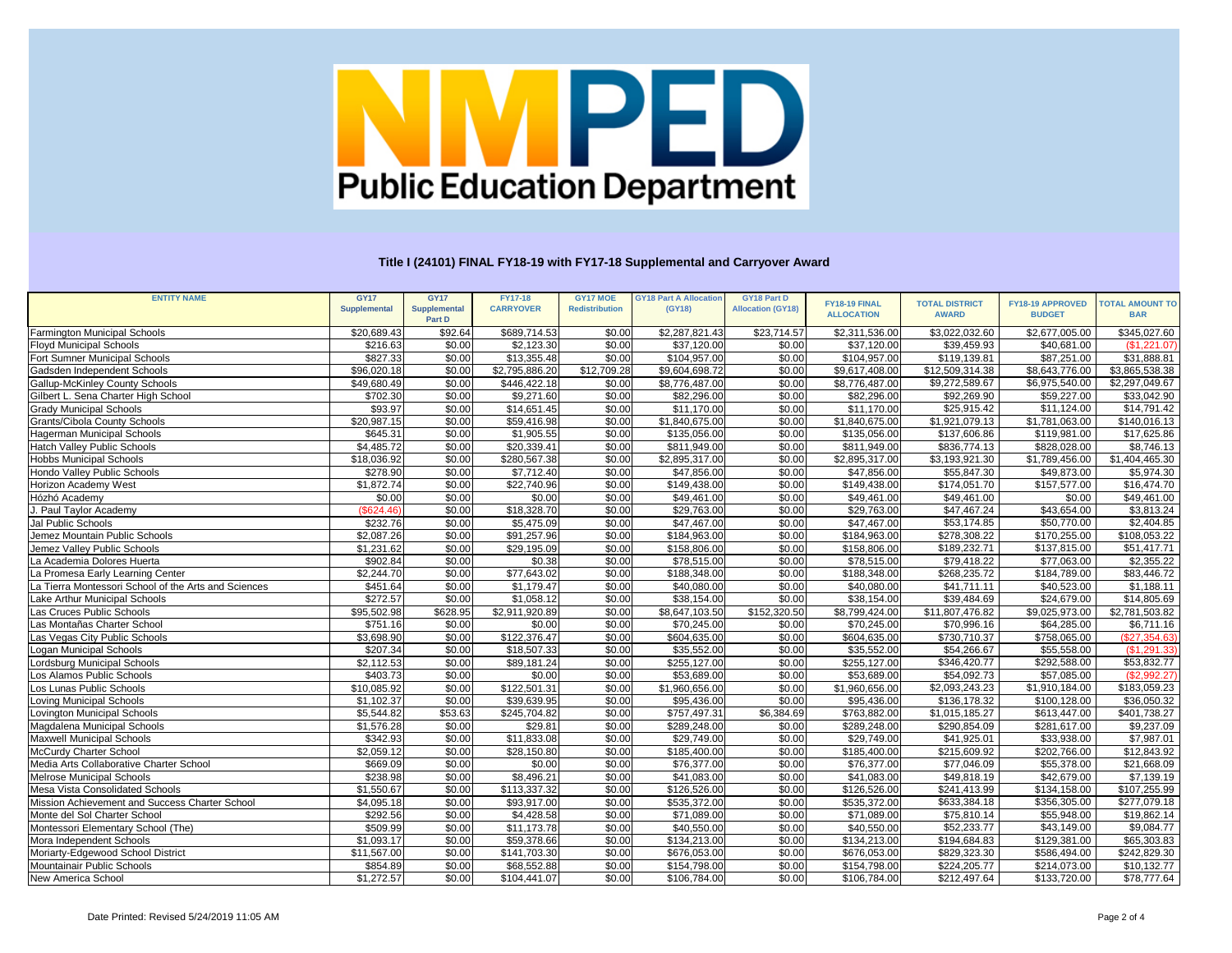| <b>ENTITY NAME</b><br><b>GY17</b><br><b>GY17</b><br><b>FY17-18</b><br><b>GY17 MOE</b><br><b>GY18 Part A Allocation</b><br><b>GY18 Part D</b><br>FY18-19 FINAL<br><b>TOTAL DISTRICT</b><br><b>FY18-19 APPROVED</b><br><b>CARRYOVER</b><br><b>Redistribution</b><br>(GY18)<br><b>Allocation (GY18)</b><br><b>Supplemental</b><br><b>Supplemental</b><br><b>AWARD</b><br><b>ALLOCATION</b><br><b>BUDGET</b><br>Part D<br>\$3,022,032.60<br>\$2,677,005.00<br>\$20,689.43<br>\$92.64<br>\$689,714.53<br>\$2,287,821.43<br>\$23,714.57<br>\$2,311,536.00<br><b>Farmington Municipal Schools</b><br>\$0.00<br>\$39,459.93<br>\$216.63<br>\$0.00<br>\$2,123.30<br>\$0.00<br>\$37,120.00<br>\$0.00<br>\$37,120.00<br>\$40,681.00<br><b>Floyd Municipal Schools</b><br>\$827.33<br>$\overline{$}119,139.81$<br>$\overline{$87,251.00}$<br>\$0.00<br>\$13,355.48<br>\$0.00<br>\$104,957.00<br>\$0.00<br>\$104,957.00<br>Fort Sumner Municipal Schools<br>$\overline{$}12,709.28$<br>Gadsden Independent Schools<br>\$96,020.18<br>\$0.00<br>\$2,795,886.20<br>\$9,604,698.72<br>\$0.00<br>\$12,509,314.38<br>\$8,643,776.00<br>\$9,617,408.00<br>\$9,272,589.67<br>\$446,422.18<br>\$0.00<br>\$6,975,540.00<br>\$49,680.49<br>\$0.00<br>\$0.00<br>\$8,776,487.00<br>\$8,776,487.00<br><b>Gallup-McKinley County Schools</b><br>$\overline{$}702.30$<br>\$0.00<br>\$82,296.00<br>\$0.00<br>\$9,271.60<br>\$0.00<br>\$82,296.00<br>\$92,269.90<br>\$59,227.00<br>Gilbert L. Sena Charter High School | <b>TOTAL AMOUNT TO</b><br><b>BAR</b><br>\$345,027.60<br>(\$1,221.07)<br>\$31,888.81<br>\$3,865,538.38<br>\$2,297,049.67<br>\$33,042.90 |
|------------------------------------------------------------------------------------------------------------------------------------------------------------------------------------------------------------------------------------------------------------------------------------------------------------------------------------------------------------------------------------------------------------------------------------------------------------------------------------------------------------------------------------------------------------------------------------------------------------------------------------------------------------------------------------------------------------------------------------------------------------------------------------------------------------------------------------------------------------------------------------------------------------------------------------------------------------------------------------------------------------------------------------------------------------------------------------------------------------------------------------------------------------------------------------------------------------------------------------------------------------------------------------------------------------------------------------------------------------------------------------------------------------------------------------------------------------------------------------------|----------------------------------------------------------------------------------------------------------------------------------------|
|                                                                                                                                                                                                                                                                                                                                                                                                                                                                                                                                                                                                                                                                                                                                                                                                                                                                                                                                                                                                                                                                                                                                                                                                                                                                                                                                                                                                                                                                                          |                                                                                                                                        |
|                                                                                                                                                                                                                                                                                                                                                                                                                                                                                                                                                                                                                                                                                                                                                                                                                                                                                                                                                                                                                                                                                                                                                                                                                                                                                                                                                                                                                                                                                          |                                                                                                                                        |
|                                                                                                                                                                                                                                                                                                                                                                                                                                                                                                                                                                                                                                                                                                                                                                                                                                                                                                                                                                                                                                                                                                                                                                                                                                                                                                                                                                                                                                                                                          |                                                                                                                                        |
|                                                                                                                                                                                                                                                                                                                                                                                                                                                                                                                                                                                                                                                                                                                                                                                                                                                                                                                                                                                                                                                                                                                                                                                                                                                                                                                                                                                                                                                                                          |                                                                                                                                        |
|                                                                                                                                                                                                                                                                                                                                                                                                                                                                                                                                                                                                                                                                                                                                                                                                                                                                                                                                                                                                                                                                                                                                                                                                                                                                                                                                                                                                                                                                                          |                                                                                                                                        |
|                                                                                                                                                                                                                                                                                                                                                                                                                                                                                                                                                                                                                                                                                                                                                                                                                                                                                                                                                                                                                                                                                                                                                                                                                                                                                                                                                                                                                                                                                          |                                                                                                                                        |
|                                                                                                                                                                                                                                                                                                                                                                                                                                                                                                                                                                                                                                                                                                                                                                                                                                                                                                                                                                                                                                                                                                                                                                                                                                                                                                                                                                                                                                                                                          |                                                                                                                                        |
|                                                                                                                                                                                                                                                                                                                                                                                                                                                                                                                                                                                                                                                                                                                                                                                                                                                                                                                                                                                                                                                                                                                                                                                                                                                                                                                                                                                                                                                                                          |                                                                                                                                        |
| \$0.00<br>\$25,915.42<br>\$93.97<br>\$0.00<br>\$14,651.45<br>\$0.00<br>\$11,170.00<br>\$11,170.00<br><b>Grady Municipal Schools</b>                                                                                                                                                                                                                                                                                                                                                                                                                                                                                                                                                                                                                                                                                                                                                                                                                                                                                                                                                                                                                                                                                                                                                                                                                                                                                                                                                      | \$11,124.00<br>\$14,791.42                                                                                                             |
| \$0.00<br>\$20,987.15<br>\$0.00<br>\$59,416.98<br>\$0.00<br>\$1,840,675.00<br>\$1,840,675.00<br>\$1,921,079.13<br>\$1,781,063.00<br><b>Grants/Cibola County Schools</b>                                                                                                                                                                                                                                                                                                                                                                                                                                                                                                                                                                                                                                                                                                                                                                                                                                                                                                                                                                                                                                                                                                                                                                                                                                                                                                                  | \$140,016.13                                                                                                                           |
| \$0.00<br>\$0.00<br>\$1,905.55<br>\$137,606.86<br>Hagerman Municipal Schools<br>\$645.31<br>\$0.00<br>\$135,056.00<br>\$135,056.00<br>\$119,981.00                                                                                                                                                                                                                                                                                                                                                                                                                                                                                                                                                                                                                                                                                                                                                                                                                                                                                                                                                                                                                                                                                                                                                                                                                                                                                                                                       | \$17,625.86                                                                                                                            |
| \$0.00<br>\$4,485.72<br>\$0.00<br>\$20,339.41<br>\$0.00<br>\$811,949.00<br>\$811,949.00<br>\$836,774.13<br>\$828,028.00<br>Hatch Valley Public Schools                                                                                                                                                                                                                                                                                                                                                                                                                                                                                                                                                                                                                                                                                                                                                                                                                                                                                                                                                                                                                                                                                                                                                                                                                                                                                                                                   | \$8,746.13                                                                                                                             |
| \$0.00<br>\$0.00<br>$\overline{$2,895,317.00}$<br>\$3,193,921.30<br>\$1,789,456.00<br><b>Hobbs Municipal Schools</b><br>\$18,036.92<br>\$280,567.38<br>\$0.00<br>\$2,895,317.00                                                                                                                                                                                                                                                                                                                                                                                                                                                                                                                                                                                                                                                                                                                                                                                                                                                                                                                                                                                                                                                                                                                                                                                                                                                                                                          | \$1,404,465.30                                                                                                                         |
| \$278.90<br>\$0.00<br>\$7,712.40<br>\$0.00<br>\$47,856.00<br>\$0.00<br>\$55,847.30<br>\$49,873.00<br>Hondo Valley Public Schools<br>\$47,856.00                                                                                                                                                                                                                                                                                                                                                                                                                                                                                                                                                                                                                                                                                                                                                                                                                                                                                                                                                                                                                                                                                                                                                                                                                                                                                                                                          | \$5,974.30                                                                                                                             |
| \$174,051.70<br>\$157,577.00<br>\$1,872.74<br>\$0.00<br>\$22,740.96<br>\$0.00<br>\$149,438.00<br>\$0.00<br>\$149,438.00<br>Horizon Academy West                                                                                                                                                                                                                                                                                                                                                                                                                                                                                                                                                                                                                                                                                                                                                                                                                                                                                                                                                                                                                                                                                                                                                                                                                                                                                                                                          | \$16,474.70                                                                                                                            |
| Hózhó Academy<br>\$0.00<br>\$0.00<br>\$0.00<br>\$49,461.00<br>\$0.00<br>\$49,461.00<br>\$0.00<br>\$49,461.00                                                                                                                                                                                                                                                                                                                                                                                                                                                                                                                                                                                                                                                                                                                                                                                                                                                                                                                                                                                                                                                                                                                                                                                                                                                                                                                                                                             | \$0.00<br>\$49,461.00                                                                                                                  |
| \$18,328.70<br>\$47,467.24<br>\$43,654.00<br>(\$624.46)<br>\$29,763.00<br>\$0.00<br>\$29,763.00<br>\$0.00<br>\$0.00<br>J. Paul Taylor Academy                                                                                                                                                                                                                                                                                                                                                                                                                                                                                                                                                                                                                                                                                                                                                                                                                                                                                                                                                                                                                                                                                                                                                                                                                                                                                                                                            | \$3,813.24                                                                                                                             |
| \$232.76<br>\$0.00<br>\$53,174.85<br>\$50,770.00<br>\$0.00<br>\$5,475.09<br>\$0.00<br>\$47,467.00<br>\$47,467.00<br>Jal Public Schools                                                                                                                                                                                                                                                                                                                                                                                                                                                                                                                                                                                                                                                                                                                                                                                                                                                                                                                                                                                                                                                                                                                                                                                                                                                                                                                                                   | $\overline{$2,404.85}$                                                                                                                 |
| \$91,257.96<br>\$278,308.22<br>\$2,087.26<br>\$0.00<br>\$184,963.00<br>\$0.00<br>\$184,963.00<br>\$170,255.00<br>Jemez Mountain Public Schools<br>\$0.00                                                                                                                                                                                                                                                                                                                                                                                                                                                                                                                                                                                                                                                                                                                                                                                                                                                                                                                                                                                                                                                                                                                                                                                                                                                                                                                                 | $\overline{$108,053.22}$                                                                                                               |
| \$0.00<br>\$189,232.71<br>\$0.00<br>\$29,195.09<br>\$158,806.00<br>\$137,815.00<br>Jemez Valley Public Schools<br>\$1,231.62<br>\$0.00<br>\$158,806.00                                                                                                                                                                                                                                                                                                                                                                                                                                                                                                                                                                                                                                                                                                                                                                                                                                                                                                                                                                                                                                                                                                                                                                                                                                                                                                                                   | $\overline{$}51,417.71$                                                                                                                |
| \$0.00<br>\$902.84<br>\$0.00<br>\$0.38<br>\$0.00<br>\$78,515.00<br>\$79,418.22<br>La Academia Dolores Huerta<br>\$78,515.00<br>\$77,063.00                                                                                                                                                                                                                                                                                                                                                                                                                                                                                                                                                                                                                                                                                                                                                                                                                                                                                                                                                                                                                                                                                                                                                                                                                                                                                                                                               | \$2,355.22                                                                                                                             |
| \$0.00<br>\$77,643.02<br>\$0.00<br>$\overline{$268,235.72}$<br>\$184,789.00<br>\$2,244.70<br>\$0.00<br>\$188,348.00<br>La Promesa Early Learning Center<br>\$188,348.00                                                                                                                                                                                                                                                                                                                                                                                                                                                                                                                                                                                                                                                                                                                                                                                                                                                                                                                                                                                                                                                                                                                                                                                                                                                                                                                  | $\overline{$83,446.72}$                                                                                                                |
| \$0.00<br>\$0.00<br>\$40,080.00<br>\$451.64<br>\$1,179.47<br>\$0.00<br>\$40,080.00<br>\$41,711.11<br>\$40,523.00<br>La Tierra Montessori School of the Arts and Sciences                                                                                                                                                                                                                                                                                                                                                                                                                                                                                                                                                                                                                                                                                                                                                                                                                                                                                                                                                                                                                                                                                                                                                                                                                                                                                                                 | \$1,188.11                                                                                                                             |
| \$272.57<br>\$0.00<br>\$0.00<br>\$1,058.12<br>\$0.00<br>\$38,154.00<br>\$38,154.00<br>\$39,484.69<br>\$24,679.00<br>Lake Arthur Municipal Schools                                                                                                                                                                                                                                                                                                                                                                                                                                                                                                                                                                                                                                                                                                                                                                                                                                                                                                                                                                                                                                                                                                                                                                                                                                                                                                                                        | $\overline{$}14,805.69$                                                                                                                |
| \$628.95<br>$\overline{$2,911,920.89}$<br>\$152,320.50<br>$\overline{$11,807,476.82}$<br>\$95,502.98<br>\$0.00<br>\$8,647,103.50<br>\$8,799,424.00<br>\$9,025,973.00<br>Las Cruces Public Schools                                                                                                                                                                                                                                                                                                                                                                                                                                                                                                                                                                                                                                                                                                                                                                                                                                                                                                                                                                                                                                                                                                                                                                                                                                                                                        | $\overline{$2,781,503.82}$                                                                                                             |
| \$70,996.16<br>Las Montañas Charter School<br>\$751.16<br>\$0.00<br>\$0.00<br>\$0.00<br>\$70,245.00<br>\$0.00<br>\$70,245.00<br>\$64,285.00                                                                                                                                                                                                                                                                                                                                                                                                                                                                                                                                                                                                                                                                                                                                                                                                                                                                                                                                                                                                                                                                                                                                                                                                                                                                                                                                              | \$6,711.16                                                                                                                             |
| \$122,376.47<br>\$3,698.90<br>\$0.00<br>\$604,635.00<br>\$0.00<br>\$730,710.37<br>\$758,065.00<br>\$0.00<br>\$604,635.00<br>Las Vegas City Public Schools                                                                                                                                                                                                                                                                                                                                                                                                                                                                                                                                                                                                                                                                                                                                                                                                                                                                                                                                                                                                                                                                                                                                                                                                                                                                                                                                | (\$27,354.63)                                                                                                                          |
| \$18,507.33<br>\$54,266.67<br>\$55,558.00<br>\$207.34<br>\$35,552.00<br>\$0.00<br>\$35,552.00<br>Logan Municipal Schools<br>\$0.00<br>\$0.00                                                                                                                                                                                                                                                                                                                                                                                                                                                                                                                                                                                                                                                                                                                                                                                                                                                                                                                                                                                                                                                                                                                                                                                                                                                                                                                                             | (\$1,291.33)                                                                                                                           |
| \$0.00<br>\$346,420.77<br>\$292,588.00<br>\$2,112.53<br>\$0.00<br>\$89,181.24<br>\$0.00<br>\$255,127.00<br>\$255,127.00<br>Lordsburg Municipal Schools                                                                                                                                                                                                                                                                                                                                                                                                                                                                                                                                                                                                                                                                                                                                                                                                                                                                                                                                                                                                                                                                                                                                                                                                                                                                                                                                   | \$53,832.77                                                                                                                            |
| \$54,092.73<br>\$0.00<br>\$57,085.00<br>\$403.73<br>\$0.00<br>\$0.00<br>\$0.00<br>\$53,689.00<br>\$53,689.00<br>Los Alamos Public Schools                                                                                                                                                                                                                                                                                                                                                                                                                                                                                                                                                                                                                                                                                                                                                                                                                                                                                                                                                                                                                                                                                                                                                                                                                                                                                                                                                | (\$2,992.27)                                                                                                                           |
| \$0.00<br>\$10,085.92<br>\$0.00<br>\$122,501.31<br>\$0.00<br>\$1,960,656.00<br>\$1,960,656.00<br>\$2,093,243.23<br>\$1,910,184.00<br>Los Lunas Public Schools                                                                                                                                                                                                                                                                                                                                                                                                                                                                                                                                                                                                                                                                                                                                                                                                                                                                                                                                                                                                                                                                                                                                                                                                                                                                                                                            | \$183,059.23                                                                                                                           |
| \$0.00<br>\$1,102.37<br>\$0.00<br>\$39,639.95<br>\$136,178.32<br>\$100,128.00<br>\$0.00<br>\$95,436.00<br>\$95,436.00<br>Loving Municipal Schools                                                                                                                                                                                                                                                                                                                                                                                                                                                                                                                                                                                                                                                                                                                                                                                                                                                                                                                                                                                                                                                                                                                                                                                                                                                                                                                                        | $\overline{$36,050.32}$                                                                                                                |
| \$5,544.82<br>\$53.63<br>\$757,497.31<br>\$6,384.69<br>\$245,704.82<br>\$0.00<br>\$763,882.00<br>\$1,015,185.27<br>\$613,447.00<br>Lovington Municipal Schools                                                                                                                                                                                                                                                                                                                                                                                                                                                                                                                                                                                                                                                                                                                                                                                                                                                                                                                                                                                                                                                                                                                                                                                                                                                                                                                           | \$401,738.27                                                                                                                           |
| \$1,576.28<br>\$0.00<br>\$29.81<br>\$0.00<br>\$289,248.00<br>\$0.00<br>\$289,248.00<br>\$290,854.09<br>\$281,617.00<br>Magdalena Municipal Schools                                                                                                                                                                                                                                                                                                                                                                                                                                                                                                                                                                                                                                                                                                                                                                                                                                                                                                                                                                                                                                                                                                                                                                                                                                                                                                                                       | \$9,237.09                                                                                                                             |
| \$0.00<br>\$0.00<br>\$0.00<br>Maxwell Municipal Schools<br>\$342.93<br>\$11,833.08<br>\$29,749.00<br>\$29,749.00<br>\$41,925.01<br>\$33,938.00                                                                                                                                                                                                                                                                                                                                                                                                                                                                                                                                                                                                                                                                                                                                                                                                                                                                                                                                                                                                                                                                                                                                                                                                                                                                                                                                           | \$7,987.01                                                                                                                             |
| \$215,609.92<br>\$2,059.12<br>\$0.00<br>\$0.00<br>\$202,766.00<br>McCurdy Charter School<br>\$28,150.80<br>\$0.00<br>\$185,400.00<br>\$185,400.00                                                                                                                                                                                                                                                                                                                                                                                                                                                                                                                                                                                                                                                                                                                                                                                                                                                                                                                                                                                                                                                                                                                                                                                                                                                                                                                                        | \$12,843.92                                                                                                                            |
| \$0.00<br>Media Arts Collaborative Charter School<br>\$669.09<br>\$0.00<br>\$0.00<br>\$76,377.00<br>\$0.00<br>\$76,377.00<br>\$77,046.09<br>\$55,378.00                                                                                                                                                                                                                                                                                                                                                                                                                                                                                                                                                                                                                                                                                                                                                                                                                                                                                                                                                                                                                                                                                                                                                                                                                                                                                                                                  | \$21,668.09                                                                                                                            |
| \$238.98<br>\$8,496.21<br>\$49,818.19<br>\$42,679.00<br>Melrose Municipal Schools<br>\$0.00<br>\$0.00<br>\$41,083.00<br>\$0.00<br>\$41,083.00                                                                                                                                                                                                                                                                                                                                                                                                                                                                                                                                                                                                                                                                                                                                                                                                                                                                                                                                                                                                                                                                                                                                                                                                                                                                                                                                            | \$7,139.19                                                                                                                             |
| \$1,550.67<br>\$113,337.32<br>\$0.00<br>\$0.00<br>\$126,526.00<br>\$0.00<br>\$126,526.00<br>\$241,413.99<br>\$134,158.00<br>Mesa Vista Consolidated Schools                                                                                                                                                                                                                                                                                                                                                                                                                                                                                                                                                                                                                                                                                                                                                                                                                                                                                                                                                                                                                                                                                                                                                                                                                                                                                                                              | \$107,255.99                                                                                                                           |
| \$4,095.18<br>\$535,372.00<br>\$0.00<br>\$535,372.00<br>\$633,384.18<br>\$356,305.00<br>Mission Achievement and Success Charter School<br>\$0.00<br>\$93,917.00<br>\$0.00                                                                                                                                                                                                                                                                                                                                                                                                                                                                                                                                                                                                                                                                                                                                                                                                                                                                                                                                                                                                                                                                                                                                                                                                                                                                                                                | \$277,079.18                                                                                                                           |
| \$292.56<br>\$4,428.58<br>\$71,089.00<br>Monte del Sol Charter School<br>\$0.00<br>\$0.00<br>\$0.00<br>\$71,089.00<br>\$75,810.14<br>\$55,948.00                                                                                                                                                                                                                                                                                                                                                                                                                                                                                                                                                                                                                                                                                                                                                                                                                                                                                                                                                                                                                                                                                                                                                                                                                                                                                                                                         | \$19,862.14                                                                                                                            |
| \$509.99<br>\$0.00<br>\$52,233.77<br>Montessori Elementary School (The)<br>\$11,173.78<br>\$0.00<br>\$40,550.00<br>\$0.00<br>\$40,550.00<br>\$43,149.00                                                                                                                                                                                                                                                                                                                                                                                                                                                                                                                                                                                                                                                                                                                                                                                                                                                                                                                                                                                                                                                                                                                                                                                                                                                                                                                                  | \$9,084.77                                                                                                                             |
| \$1,093.17<br>\$0.00<br>\$0.00<br>\$194,684.83<br>\$59,378.66<br>\$0.00<br>\$134,213.00<br>\$134,213.00<br>\$129,381.00<br>Mora Independent Schools                                                                                                                                                                                                                                                                                                                                                                                                                                                                                                                                                                                                                                                                                                                                                                                                                                                                                                                                                                                                                                                                                                                                                                                                                                                                                                                                      | \$65,303.83                                                                                                                            |
| \$0.00<br>\$11,567.00<br>\$0.00<br>\$141,703.30<br>\$0.00<br>\$676,053.00<br>\$676,053.00<br>\$829,323.30<br>\$586,494.00<br>Moriarty-Edgewood School District                                                                                                                                                                                                                                                                                                                                                                                                                                                                                                                                                                                                                                                                                                                                                                                                                                                                                                                                                                                                                                                                                                                                                                                                                                                                                                                           | \$242,829.30                                                                                                                           |
| \$0.00<br>\$0.00<br>\$224,205.77<br>\$214,073.00<br>Mountainair Public Schools<br>\$854.89<br>\$68,552.88<br>\$0.00<br>\$154,798.00<br>\$154,798.00                                                                                                                                                                                                                                                                                                                                                                                                                                                                                                                                                                                                                                                                                                                                                                                                                                                                                                                                                                                                                                                                                                                                                                                                                                                                                                                                      | \$10,132.77                                                                                                                            |
| <b>New America School</b><br>\$1,272.57<br>\$0.00<br>\$104,441.07<br>\$0.00<br>\$106,784.00<br>\$0.00<br>\$106,784.00<br>\$212,497.64<br>\$133,720.00                                                                                                                                                                                                                                                                                                                                                                                                                                                                                                                                                                                                                                                                                                                                                                                                                                                                                                                                                                                                                                                                                                                                                                                                                                                                                                                                    | \$78,777.64                                                                                                                            |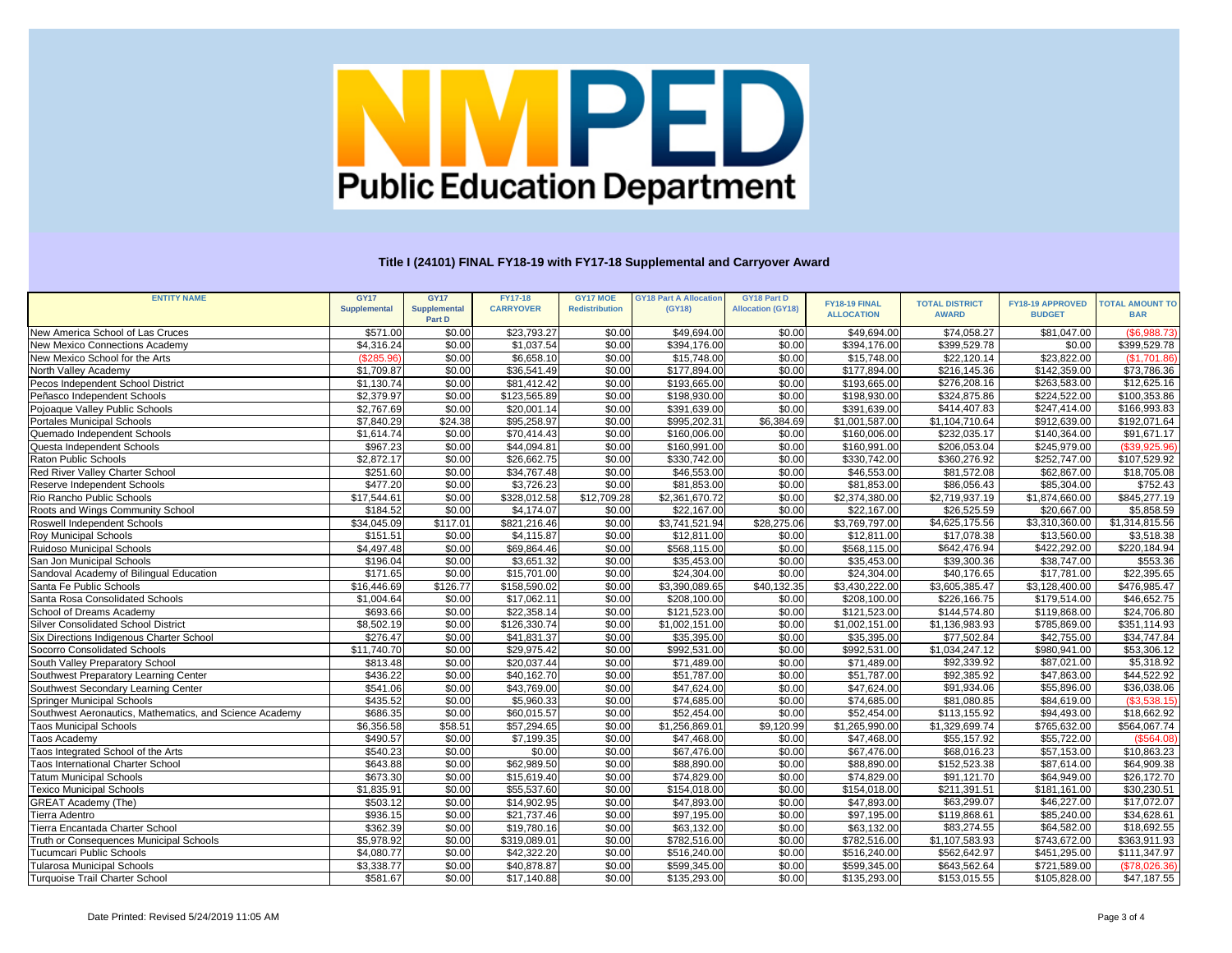| FY18-19 FINAL<br><b>TOTAL DISTRICT</b><br><b>FY18-19 APPROVED</b><br><b>TOTAL AMOUNT TO</b><br><b>CARRYOVER</b><br><b>Supplemental</b><br><b>Redistribution</b><br><b>Allocation (GY18)</b><br><b>Supplemental</b><br>(GY18)<br><b>ALLOCATION</b><br><b>AWARD</b><br><b>BUDGET</b><br><b>BAR</b><br>Part D<br>\$571.00<br>\$0.00<br>$\overline{$}23,793.27$<br>\$49,694.00<br>\$74,058.27<br>\$81,047.00<br>(\$6,988.73)<br>\$0.00<br>\$0.00<br>\$49,694.00<br>New America School of Las Cruces<br>\$0.00<br>New Mexico Connections Academy<br>\$4,316.24<br>\$1,037.54<br>\$0.00<br>\$394,176.00<br>\$0.00<br>\$394,176.00<br>\$399,529.78<br>\$0.00<br>\$399,529.78<br>\$23,822.00<br>(\$285.96)<br>\$0.00<br>\$6,658.10<br>\$15,748.00<br>\$0.00<br>\$22,120.14<br>(\$1,701.86)<br>New Mexico School for the Arts<br>\$0.00<br>\$15,748.00<br>North Valley Academy<br>\$1,709.87<br>\$0.00<br>\$36,541.49<br>\$0.00<br>\$177,894.00<br>\$0.00<br>\$177,894.00<br>$\overline{$}216,145.36$<br>\$142,359.00<br>\$73,786.36<br>\$193,665.00<br>\$0.00<br>\$193,665.00<br>\$276,208.16<br>\$263,583.00<br>\$1,130.74<br>\$0.00<br>\$81,412.42<br>\$12,625.16<br>Pecos Independent School District<br>\$0.00<br>\$0.00<br>\$0.00<br>\$2,379.97<br>\$123,565.89<br>\$0.00<br>\$198,930.00<br>\$198,930.00<br>\$324,875.86<br>\$224,522.00<br>Peñasco Independent Schools<br>\$100,353.86<br>\$0.00<br>\$0.00<br>\$2,767.69<br>\$20,001.14<br>\$0.00<br>\$391,639.00<br>\$391,639.00<br>\$414,407.83<br>\$247,414.00<br>\$166,993.83<br>Pojoaque Valley Public Schools<br>\$24.38<br>\$6,384.69<br>\$7,840.29<br>\$95,258.97<br>\$0.00<br>\$995,202.31<br>\$1,001,587.00<br>\$1,104,710.64<br>\$912,639.00<br>\$192,071.64<br><b>Portales Municipal Schools</b><br>\$0.00<br>\$0.00<br>$\overline{$91,671.17}$<br>\$1,614.74<br>\$70,414.43<br>\$0.00<br>\$160,006.00<br>\$232,035.17<br>\$140,364.00<br>\$160,006.00<br>Quemado Independent Schools<br>\$0.00<br>\$0.00<br>(\$39,925.96)<br>\$967.23<br>\$44,094.81<br>\$0.00<br>\$160,991.00<br>\$160,991.00<br>\$206,053.04<br>\$245,979.00<br>Questa Independent Schools<br>\$2,872.17<br>\$0.00<br>\$360,276.92<br>Raton Public Schools<br>\$0.00<br>\$26,662.75<br>\$0.00<br>\$330,742.00<br>\$330,742.00<br>\$252,747.00<br>\$107,529.92<br>\$0.00<br>\$0.00<br><b>Red River Valley Charter School</b><br>\$251.60<br>\$34,767.48<br>\$0.00<br>\$46,553.00<br>\$46,553.00<br>\$81,572.08<br>\$62,867.00<br>\$18,705.08<br>\$0.00<br>\$86,056.43<br>\$85,304.00<br>\$752.43<br>Reserve Independent Schools<br>\$477.20<br>\$3,726.23<br>\$0.00<br>\$81,853.00<br>\$0.00<br>\$81,853.00<br>$\overline{$}12,709.28$<br>$\overline{$2,374,380.00}$<br>Rio Rancho Public Schools<br>\$17,544.61<br>\$0.00<br>\$328,012.58<br>\$2,361,670.72<br>\$0.00<br>\$2,719,937.19<br>\$845,277.19<br>\$1,874,660.00<br>\$20,667.00<br>\$0.00<br>\$4,174.07<br>\$22,167.00<br>\$0.00<br>\$26,525.59<br>\$5,858.59<br>\$184.52<br>\$0.00<br>\$22,167.00<br>Roots and Wings Community School<br>\$4,625,175.56<br>\$3,310,360.00<br>$\overline{\$1,314,815.56}$<br>\$34,045.09<br>\$117.01<br>\$821,216.46<br>\$3,741,521.94<br>\$28,275.06<br>\$3,769,797.00<br>\$0.00 | <b>ENTITY NAME</b>          |
|----------------------------------------------------------------------------------------------------------------------------------------------------------------------------------------------------------------------------------------------------------------------------------------------------------------------------------------------------------------------------------------------------------------------------------------------------------------------------------------------------------------------------------------------------------------------------------------------------------------------------------------------------------------------------------------------------------------------------------------------------------------------------------------------------------------------------------------------------------------------------------------------------------------------------------------------------------------------------------------------------------------------------------------------------------------------------------------------------------------------------------------------------------------------------------------------------------------------------------------------------------------------------------------------------------------------------------------------------------------------------------------------------------------------------------------------------------------------------------------------------------------------------------------------------------------------------------------------------------------------------------------------------------------------------------------------------------------------------------------------------------------------------------------------------------------------------------------------------------------------------------------------------------------------------------------------------------------------------------------------------------------------------------------------------------------------------------------------------------------------------------------------------------------------------------------------------------------------------------------------------------------------------------------------------------------------------------------------------------------------------------------------------------------------------------------------------------------------------------------------------------------------------------------------------------------------------------------------------------------------------------------------------------------------------------------------------------------------------------------------------------------------------------------------------------------------------------------------------------------------------------------------------------------------------------------------------------------------------------------------------------------------------------------------------------------------------------------------------------------------------------------------------------------------------------------------------------|-----------------------------|
|                                                                                                                                                                                                                                                                                                                                                                                                                                                                                                                                                                                                                                                                                                                                                                                                                                                                                                                                                                                                                                                                                                                                                                                                                                                                                                                                                                                                                                                                                                                                                                                                                                                                                                                                                                                                                                                                                                                                                                                                                                                                                                                                                                                                                                                                                                                                                                                                                                                                                                                                                                                                                                                                                                                                                                                                                                                                                                                                                                                                                                                                                                                                                                                                          |                             |
|                                                                                                                                                                                                                                                                                                                                                                                                                                                                                                                                                                                                                                                                                                                                                                                                                                                                                                                                                                                                                                                                                                                                                                                                                                                                                                                                                                                                                                                                                                                                                                                                                                                                                                                                                                                                                                                                                                                                                                                                                                                                                                                                                                                                                                                                                                                                                                                                                                                                                                                                                                                                                                                                                                                                                                                                                                                                                                                                                                                                                                                                                                                                                                                                          |                             |
|                                                                                                                                                                                                                                                                                                                                                                                                                                                                                                                                                                                                                                                                                                                                                                                                                                                                                                                                                                                                                                                                                                                                                                                                                                                                                                                                                                                                                                                                                                                                                                                                                                                                                                                                                                                                                                                                                                                                                                                                                                                                                                                                                                                                                                                                                                                                                                                                                                                                                                                                                                                                                                                                                                                                                                                                                                                                                                                                                                                                                                                                                                                                                                                                          |                             |
|                                                                                                                                                                                                                                                                                                                                                                                                                                                                                                                                                                                                                                                                                                                                                                                                                                                                                                                                                                                                                                                                                                                                                                                                                                                                                                                                                                                                                                                                                                                                                                                                                                                                                                                                                                                                                                                                                                                                                                                                                                                                                                                                                                                                                                                                                                                                                                                                                                                                                                                                                                                                                                                                                                                                                                                                                                                                                                                                                                                                                                                                                                                                                                                                          |                             |
|                                                                                                                                                                                                                                                                                                                                                                                                                                                                                                                                                                                                                                                                                                                                                                                                                                                                                                                                                                                                                                                                                                                                                                                                                                                                                                                                                                                                                                                                                                                                                                                                                                                                                                                                                                                                                                                                                                                                                                                                                                                                                                                                                                                                                                                                                                                                                                                                                                                                                                                                                                                                                                                                                                                                                                                                                                                                                                                                                                                                                                                                                                                                                                                                          |                             |
|                                                                                                                                                                                                                                                                                                                                                                                                                                                                                                                                                                                                                                                                                                                                                                                                                                                                                                                                                                                                                                                                                                                                                                                                                                                                                                                                                                                                                                                                                                                                                                                                                                                                                                                                                                                                                                                                                                                                                                                                                                                                                                                                                                                                                                                                                                                                                                                                                                                                                                                                                                                                                                                                                                                                                                                                                                                                                                                                                                                                                                                                                                                                                                                                          |                             |
|                                                                                                                                                                                                                                                                                                                                                                                                                                                                                                                                                                                                                                                                                                                                                                                                                                                                                                                                                                                                                                                                                                                                                                                                                                                                                                                                                                                                                                                                                                                                                                                                                                                                                                                                                                                                                                                                                                                                                                                                                                                                                                                                                                                                                                                                                                                                                                                                                                                                                                                                                                                                                                                                                                                                                                                                                                                                                                                                                                                                                                                                                                                                                                                                          |                             |
|                                                                                                                                                                                                                                                                                                                                                                                                                                                                                                                                                                                                                                                                                                                                                                                                                                                                                                                                                                                                                                                                                                                                                                                                                                                                                                                                                                                                                                                                                                                                                                                                                                                                                                                                                                                                                                                                                                                                                                                                                                                                                                                                                                                                                                                                                                                                                                                                                                                                                                                                                                                                                                                                                                                                                                                                                                                                                                                                                                                                                                                                                                                                                                                                          |                             |
|                                                                                                                                                                                                                                                                                                                                                                                                                                                                                                                                                                                                                                                                                                                                                                                                                                                                                                                                                                                                                                                                                                                                                                                                                                                                                                                                                                                                                                                                                                                                                                                                                                                                                                                                                                                                                                                                                                                                                                                                                                                                                                                                                                                                                                                                                                                                                                                                                                                                                                                                                                                                                                                                                                                                                                                                                                                                                                                                                                                                                                                                                                                                                                                                          |                             |
|                                                                                                                                                                                                                                                                                                                                                                                                                                                                                                                                                                                                                                                                                                                                                                                                                                                                                                                                                                                                                                                                                                                                                                                                                                                                                                                                                                                                                                                                                                                                                                                                                                                                                                                                                                                                                                                                                                                                                                                                                                                                                                                                                                                                                                                                                                                                                                                                                                                                                                                                                                                                                                                                                                                                                                                                                                                                                                                                                                                                                                                                                                                                                                                                          |                             |
|                                                                                                                                                                                                                                                                                                                                                                                                                                                                                                                                                                                                                                                                                                                                                                                                                                                                                                                                                                                                                                                                                                                                                                                                                                                                                                                                                                                                                                                                                                                                                                                                                                                                                                                                                                                                                                                                                                                                                                                                                                                                                                                                                                                                                                                                                                                                                                                                                                                                                                                                                                                                                                                                                                                                                                                                                                                                                                                                                                                                                                                                                                                                                                                                          |                             |
|                                                                                                                                                                                                                                                                                                                                                                                                                                                                                                                                                                                                                                                                                                                                                                                                                                                                                                                                                                                                                                                                                                                                                                                                                                                                                                                                                                                                                                                                                                                                                                                                                                                                                                                                                                                                                                                                                                                                                                                                                                                                                                                                                                                                                                                                                                                                                                                                                                                                                                                                                                                                                                                                                                                                                                                                                                                                                                                                                                                                                                                                                                                                                                                                          |                             |
|                                                                                                                                                                                                                                                                                                                                                                                                                                                                                                                                                                                                                                                                                                                                                                                                                                                                                                                                                                                                                                                                                                                                                                                                                                                                                                                                                                                                                                                                                                                                                                                                                                                                                                                                                                                                                                                                                                                                                                                                                                                                                                                                                                                                                                                                                                                                                                                                                                                                                                                                                                                                                                                                                                                                                                                                                                                                                                                                                                                                                                                                                                                                                                                                          |                             |
|                                                                                                                                                                                                                                                                                                                                                                                                                                                                                                                                                                                                                                                                                                                                                                                                                                                                                                                                                                                                                                                                                                                                                                                                                                                                                                                                                                                                                                                                                                                                                                                                                                                                                                                                                                                                                                                                                                                                                                                                                                                                                                                                                                                                                                                                                                                                                                                                                                                                                                                                                                                                                                                                                                                                                                                                                                                                                                                                                                                                                                                                                                                                                                                                          |                             |
|                                                                                                                                                                                                                                                                                                                                                                                                                                                                                                                                                                                                                                                                                                                                                                                                                                                                                                                                                                                                                                                                                                                                                                                                                                                                                                                                                                                                                                                                                                                                                                                                                                                                                                                                                                                                                                                                                                                                                                                                                                                                                                                                                                                                                                                                                                                                                                                                                                                                                                                                                                                                                                                                                                                                                                                                                                                                                                                                                                                                                                                                                                                                                                                                          |                             |
|                                                                                                                                                                                                                                                                                                                                                                                                                                                                                                                                                                                                                                                                                                                                                                                                                                                                                                                                                                                                                                                                                                                                                                                                                                                                                                                                                                                                                                                                                                                                                                                                                                                                                                                                                                                                                                                                                                                                                                                                                                                                                                                                                                                                                                                                                                                                                                                                                                                                                                                                                                                                                                                                                                                                                                                                                                                                                                                                                                                                                                                                                                                                                                                                          |                             |
|                                                                                                                                                                                                                                                                                                                                                                                                                                                                                                                                                                                                                                                                                                                                                                                                                                                                                                                                                                                                                                                                                                                                                                                                                                                                                                                                                                                                                                                                                                                                                                                                                                                                                                                                                                                                                                                                                                                                                                                                                                                                                                                                                                                                                                                                                                                                                                                                                                                                                                                                                                                                                                                                                                                                                                                                                                                                                                                                                                                                                                                                                                                                                                                                          |                             |
|                                                                                                                                                                                                                                                                                                                                                                                                                                                                                                                                                                                                                                                                                                                                                                                                                                                                                                                                                                                                                                                                                                                                                                                                                                                                                                                                                                                                                                                                                                                                                                                                                                                                                                                                                                                                                                                                                                                                                                                                                                                                                                                                                                                                                                                                                                                                                                                                                                                                                                                                                                                                                                                                                                                                                                                                                                                                                                                                                                                                                                                                                                                                                                                                          | Roswell Independent Schools |
| \$4,115.87<br>\$12,811.00<br><b>Roy Municipal Schools</b><br>\$151.51<br>\$0.00<br>\$0.00<br>\$0.00<br>\$12,811.00<br>\$17,078.38<br>\$13,560.00<br>$\overline{$3,518.38}$                                                                                                                                                                                                                                                                                                                                                                                                                                                                                                                                                                                                                                                                                                                                                                                                                                                                                                                                                                                                                                                                                                                                                                                                                                                                                                                                                                                                                                                                                                                                                                                                                                                                                                                                                                                                                                                                                                                                                                                                                                                                                                                                                                                                                                                                                                                                                                                                                                                                                                                                                                                                                                                                                                                                                                                                                                                                                                                                                                                                                               |                             |
| \$0.00<br>\$0.00<br>$\overline{$422,292.00}$<br>\$69,864.46<br>\$0.00<br>\$568,115.00<br>\$568,115.00<br>\$642,476.94<br>\$220,184.94<br><b>Ruidoso Municipal Schools</b><br>\$4,497.48                                                                                                                                                                                                                                                                                                                                                                                                                                                                                                                                                                                                                                                                                                                                                                                                                                                                                                                                                                                                                                                                                                                                                                                                                                                                                                                                                                                                                                                                                                                                                                                                                                                                                                                                                                                                                                                                                                                                                                                                                                                                                                                                                                                                                                                                                                                                                                                                                                                                                                                                                                                                                                                                                                                                                                                                                                                                                                                                                                                                                  |                             |
| \$0.00<br>\$0.00<br>\$35,453.00<br>San Jon Municipal Schools<br>\$196.04<br>\$3,651.32<br>\$0.00<br>\$35,453.00<br>\$39,300.36<br>\$38,747.00<br>\$553.36                                                                                                                                                                                                                                                                                                                                                                                                                                                                                                                                                                                                                                                                                                                                                                                                                                                                                                                                                                                                                                                                                                                                                                                                                                                                                                                                                                                                                                                                                                                                                                                                                                                                                                                                                                                                                                                                                                                                                                                                                                                                                                                                                                                                                                                                                                                                                                                                                                                                                                                                                                                                                                                                                                                                                                                                                                                                                                                                                                                                                                                |                             |
| \$0.00<br>$\overline{$22,395.65}$<br>Sandoval Academy of Bilingual Education<br>\$0.00<br>\$40,176.65<br>\$171.65<br>\$15,701.00<br>\$0.00<br>\$24,304.00<br>\$24,304.00<br>\$17,781.00                                                                                                                                                                                                                                                                                                                                                                                                                                                                                                                                                                                                                                                                                                                                                                                                                                                                                                                                                                                                                                                                                                                                                                                                                                                                                                                                                                                                                                                                                                                                                                                                                                                                                                                                                                                                                                                                                                                                                                                                                                                                                                                                                                                                                                                                                                                                                                                                                                                                                                                                                                                                                                                                                                                                                                                                                                                                                                                                                                                                                  |                             |
| \$40,132.35<br>Santa Fe Public Schools<br>\$16,446.69<br>\$126.77<br>\$158,590.02<br>\$0.00<br>\$3,390,089.65<br>\$3,430,222.00<br>\$3,605,385.47<br>$\overline{3,}128,400.00$<br>\$476,985.47                                                                                                                                                                                                                                                                                                                                                                                                                                                                                                                                                                                                                                                                                                                                                                                                                                                                                                                                                                                                                                                                                                                                                                                                                                                                                                                                                                                                                                                                                                                                                                                                                                                                                                                                                                                                                                                                                                                                                                                                                                                                                                                                                                                                                                                                                                                                                                                                                                                                                                                                                                                                                                                                                                                                                                                                                                                                                                                                                                                                           |                             |
| \$17,062.11<br>\$0.00<br>\$226,166.75<br>$\overline{$179,514.00}$<br>Santa Rosa Consolidated Schools<br>\$1,004.64<br>\$0.00<br>\$0.00<br>\$208,100.00<br>\$208,100.00<br>\$46,652.75                                                                                                                                                                                                                                                                                                                                                                                                                                                                                                                                                                                                                                                                                                                                                                                                                                                                                                                                                                                                                                                                                                                                                                                                                                                                                                                                                                                                                                                                                                                                                                                                                                                                                                                                                                                                                                                                                                                                                                                                                                                                                                                                                                                                                                                                                                                                                                                                                                                                                                                                                                                                                                                                                                                                                                                                                                                                                                                                                                                                                    |                             |
| School of Dreams Academy<br>\$693.66<br>\$0.00<br>\$22,358.14<br>\$121,523.00<br>\$0.00<br>\$121,523.00<br>$\overline{$119,868.00}$<br>\$0.00<br>\$144,574.80<br>\$24,706.80                                                                                                                                                                                                                                                                                                                                                                                                                                                                                                                                                                                                                                                                                                                                                                                                                                                                                                                                                                                                                                                                                                                                                                                                                                                                                                                                                                                                                                                                                                                                                                                                                                                                                                                                                                                                                                                                                                                                                                                                                                                                                                                                                                                                                                                                                                                                                                                                                                                                                                                                                                                                                                                                                                                                                                                                                                                                                                                                                                                                                             |                             |
| <b>Silver Consolidated School District</b><br>\$0.00<br>\$0.00<br>\$785,869.00<br>\$8,502.19<br>\$126,330.74<br>\$0.00<br>\$1,002,151.00<br>\$1,002,151.00<br>\$1,136,983.93<br>\$351,114.93                                                                                                                                                                                                                                                                                                                                                                                                                                                                                                                                                                                                                                                                                                                                                                                                                                                                                                                                                                                                                                                                                                                                                                                                                                                                                                                                                                                                                                                                                                                                                                                                                                                                                                                                                                                                                                                                                                                                                                                                                                                                                                                                                                                                                                                                                                                                                                                                                                                                                                                                                                                                                                                                                                                                                                                                                                                                                                                                                                                                             |                             |
| Six Directions Indigenous Charter School<br>\$276.47<br>\$0.00<br>\$41,831.37<br>\$35,395.00<br>\$0.00<br>\$35,395.00<br>\$42,755.00<br>\$0.00<br>\$77,502.84<br>\$34,747.84                                                                                                                                                                                                                                                                                                                                                                                                                                                                                                                                                                                                                                                                                                                                                                                                                                                                                                                                                                                                                                                                                                                                                                                                                                                                                                                                                                                                                                                                                                                                                                                                                                                                                                                                                                                                                                                                                                                                                                                                                                                                                                                                                                                                                                                                                                                                                                                                                                                                                                                                                                                                                                                                                                                                                                                                                                                                                                                                                                                                                             |                             |
| \$1,034,247.12<br>\$980,941.00<br>\$29,975.42<br>\$992,531.00<br>\$0.00<br>\$53,306.12<br>Socorro Consolidated Schools<br>\$11,740.70<br>\$0.00<br>\$0.00<br>\$992,531.00                                                                                                                                                                                                                                                                                                                                                                                                                                                                                                                                                                                                                                                                                                                                                                                                                                                                                                                                                                                                                                                                                                                                                                                                                                                                                                                                                                                                                                                                                                                                                                                                                                                                                                                                                                                                                                                                                                                                                                                                                                                                                                                                                                                                                                                                                                                                                                                                                                                                                                                                                                                                                                                                                                                                                                                                                                                                                                                                                                                                                                |                             |
| \$0.00<br>\$0.00<br>\$813.48<br>\$20,037.44<br>\$0.00<br>\$71,489.00<br>\$71,489.00<br>\$92,339.92<br>\$87,021.00<br>South Valley Preparatory School<br>\$5,318.92                                                                                                                                                                                                                                                                                                                                                                                                                                                                                                                                                                                                                                                                                                                                                                                                                                                                                                                                                                                                                                                                                                                                                                                                                                                                                                                                                                                                                                                                                                                                                                                                                                                                                                                                                                                                                                                                                                                                                                                                                                                                                                                                                                                                                                                                                                                                                                                                                                                                                                                                                                                                                                                                                                                                                                                                                                                                                                                                                                                                                                       |                             |
| \$0.00<br>\$51,787.00<br>\$0.00<br>\$92,385.92<br>\$47,863.00<br>\$44,522.92<br>\$436.22<br>\$40,162.70<br>\$0.00<br>\$51,787.00<br>Southwest Preparatory Learning Center                                                                                                                                                                                                                                                                                                                                                                                                                                                                                                                                                                                                                                                                                                                                                                                                                                                                                                                                                                                                                                                                                                                                                                                                                                                                                                                                                                                                                                                                                                                                                                                                                                                                                                                                                                                                                                                                                                                                                                                                                                                                                                                                                                                                                                                                                                                                                                                                                                                                                                                                                                                                                                                                                                                                                                                                                                                                                                                                                                                                                                |                             |
| \$0.00<br>\$0.00<br>\$541.06<br>\$43,769.00<br>\$0.00<br>\$47,624.00<br>\$47,624.00<br>\$36,038.06<br>\$91,934.06<br>\$55,896.00<br>Southwest Secondary Learning Center                                                                                                                                                                                                                                                                                                                                                                                                                                                                                                                                                                                                                                                                                                                                                                                                                                                                                                                                                                                                                                                                                                                                                                                                                                                                                                                                                                                                                                                                                                                                                                                                                                                                                                                                                                                                                                                                                                                                                                                                                                                                                                                                                                                                                                                                                                                                                                                                                                                                                                                                                                                                                                                                                                                                                                                                                                                                                                                                                                                                                                  |                             |
| \$0.00<br>\$435.52<br>\$0.00<br>\$81,080.85<br>\$84,619.00<br>(\$3,538.15)<br><b>Springer Municipal Schools</b><br>\$5,960.33<br>\$0.00<br>\$74,685.00<br>\$74,685.00                                                                                                                                                                                                                                                                                                                                                                                                                                                                                                                                                                                                                                                                                                                                                                                                                                                                                                                                                                                                                                                                                                                                                                                                                                                                                                                                                                                                                                                                                                                                                                                                                                                                                                                                                                                                                                                                                                                                                                                                                                                                                                                                                                                                                                                                                                                                                                                                                                                                                                                                                                                                                                                                                                                                                                                                                                                                                                                                                                                                                                    |                             |
| \$0.00<br>\$0.00<br>\$686.35<br>$\overline{$60,015.57}$<br>Southwest Aeronautics, Mathematics, and Science Academy<br>\$0.00<br>\$52,454.00<br>\$52,454.00<br>\$113,155.92<br>\$94,493.00<br>\$18,662.92                                                                                                                                                                                                                                                                                                                                                                                                                                                                                                                                                                                                                                                                                                                                                                                                                                                                                                                                                                                                                                                                                                                                                                                                                                                                                                                                                                                                                                                                                                                                                                                                                                                                                                                                                                                                                                                                                                                                                                                                                                                                                                                                                                                                                                                                                                                                                                                                                                                                                                                                                                                                                                                                                                                                                                                                                                                                                                                                                                                                 |                             |
| \$58.51<br>\$9,120.99<br>\$1,329,699.74<br>\$765,632.00<br>\$564,067.74<br>\$6,356.58<br>\$57,294.65<br>\$0.00<br>\$1,256,869.01<br>\$1,265,990.00<br><b>Taos Municipal Schools</b>                                                                                                                                                                                                                                                                                                                                                                                                                                                                                                                                                                                                                                                                                                                                                                                                                                                                                                                                                                                                                                                                                                                                                                                                                                                                                                                                                                                                                                                                                                                                                                                                                                                                                                                                                                                                                                                                                                                                                                                                                                                                                                                                                                                                                                                                                                                                                                                                                                                                                                                                                                                                                                                                                                                                                                                                                                                                                                                                                                                                                      |                             |
| \$0.00<br>\$0.00<br>Taos Academy<br>\$490.57<br>\$7,199.35<br>\$47,468.00<br>\$0.00<br>\$47,468.00<br>\$55,157.92<br>\$55,722.00<br>(\$564.08)                                                                                                                                                                                                                                                                                                                                                                                                                                                                                                                                                                                                                                                                                                                                                                                                                                                                                                                                                                                                                                                                                                                                                                                                                                                                                                                                                                                                                                                                                                                                                                                                                                                                                                                                                                                                                                                                                                                                                                                                                                                                                                                                                                                                                                                                                                                                                                                                                                                                                                                                                                                                                                                                                                                                                                                                                                                                                                                                                                                                                                                           |                             |
| \$540.23<br>\$68,016.23<br>\$57,153.00<br>\$10,863.23<br>\$0.00<br>\$0.00<br>\$0.00<br>\$67,476.00<br>\$0.00<br>\$67,476.00<br>Taos Integrated School of the Arts                                                                                                                                                                                                                                                                                                                                                                                                                                                                                                                                                                                                                                                                                                                                                                                                                                                                                                                                                                                                                                                                                                                                                                                                                                                                                                                                                                                                                                                                                                                                                                                                                                                                                                                                                                                                                                                                                                                                                                                                                                                                                                                                                                                                                                                                                                                                                                                                                                                                                                                                                                                                                                                                                                                                                                                                                                                                                                                                                                                                                                        |                             |
| \$643.88<br>\$0.00<br>\$62,989.50<br>\$88,890.00<br>\$88,890.00<br>\$152,523.38<br>Taos International Charter School<br>\$0.00<br>\$0.00<br>\$87,614.00<br>\$64,909.38                                                                                                                                                                                                                                                                                                                                                                                                                                                                                                                                                                                                                                                                                                                                                                                                                                                                                                                                                                                                                                                                                                                                                                                                                                                                                                                                                                                                                                                                                                                                                                                                                                                                                                                                                                                                                                                                                                                                                                                                                                                                                                                                                                                                                                                                                                                                                                                                                                                                                                                                                                                                                                                                                                                                                                                                                                                                                                                                                                                                                                   |                             |
| \$673.30<br>\$0.00<br>\$0.00<br>\$74,829.00<br>\$0.00<br>\$74,829.00<br>\$91,121.70<br>\$64,949.00<br>\$26,172.70<br><b>Tatum Municipal Schools</b><br>\$15,619.40                                                                                                                                                                                                                                                                                                                                                                                                                                                                                                                                                                                                                                                                                                                                                                                                                                                                                                                                                                                                                                                                                                                                                                                                                                                                                                                                                                                                                                                                                                                                                                                                                                                                                                                                                                                                                                                                                                                                                                                                                                                                                                                                                                                                                                                                                                                                                                                                                                                                                                                                                                                                                                                                                                                                                                                                                                                                                                                                                                                                                                       |                             |
| \$55,537.60<br><b>Texico Municipal Schools</b><br>\$1,835.91<br>\$0.00<br>\$0.00<br>\$154,018.00<br>\$0.00<br>\$154,018.00<br>\$211,391.51<br>\$181,161.00<br>\$30,230.51                                                                                                                                                                                                                                                                                                                                                                                                                                                                                                                                                                                                                                                                                                                                                                                                                                                                                                                                                                                                                                                                                                                                                                                                                                                                                                                                                                                                                                                                                                                                                                                                                                                                                                                                                                                                                                                                                                                                                                                                                                                                                                                                                                                                                                                                                                                                                                                                                                                                                                                                                                                                                                                                                                                                                                                                                                                                                                                                                                                                                                |                             |
| <b>GREAT Academy (The)</b><br>\$503.12<br>\$0.00<br>\$47,893.00<br>\$0.00<br>\$63,299.07<br>\$46,227.00<br>\$14,902.95<br>\$0.00<br>\$47,893.00<br>\$17,072.07                                                                                                                                                                                                                                                                                                                                                                                                                                                                                                                                                                                                                                                                                                                                                                                                                                                                                                                                                                                                                                                                                                                                                                                                                                                                                                                                                                                                                                                                                                                                                                                                                                                                                                                                                                                                                                                                                                                                                                                                                                                                                                                                                                                                                                                                                                                                                                                                                                                                                                                                                                                                                                                                                                                                                                                                                                                                                                                                                                                                                                           |                             |
| \$936.15<br>\$0.00<br>\$0.00<br>Tierra Adentro<br>\$21,737.46<br>\$0.00<br>\$97,195.00<br>\$97,195.00<br>\$119,868.61<br>\$85,240.00<br>\$34,628.61                                                                                                                                                                                                                                                                                                                                                                                                                                                                                                                                                                                                                                                                                                                                                                                                                                                                                                                                                                                                                                                                                                                                                                                                                                                                                                                                                                                                                                                                                                                                                                                                                                                                                                                                                                                                                                                                                                                                                                                                                                                                                                                                                                                                                                                                                                                                                                                                                                                                                                                                                                                                                                                                                                                                                                                                                                                                                                                                                                                                                                                      |                             |
| \$0.00<br>Tierra Encantada Charter School<br>\$362.39<br>\$19,780.16<br>\$0.00<br>\$63,132.00<br>\$0.00<br>\$63,132.00<br>\$83,274.55<br>\$64,582.00<br>\$18,692.55                                                                                                                                                                                                                                                                                                                                                                                                                                                                                                                                                                                                                                                                                                                                                                                                                                                                                                                                                                                                                                                                                                                                                                                                                                                                                                                                                                                                                                                                                                                                                                                                                                                                                                                                                                                                                                                                                                                                                                                                                                                                                                                                                                                                                                                                                                                                                                                                                                                                                                                                                                                                                                                                                                                                                                                                                                                                                                                                                                                                                                      |                             |
| \$743,672.00<br>\$5,978.92<br>\$0.00<br>\$319,089.01<br>\$0.00<br>\$782,516.00<br>\$0.00<br>\$782,516.00<br>\$1,107,583.93<br>\$363,911.93<br>Truth or Consequences Municipal Schools                                                                                                                                                                                                                                                                                                                                                                                                                                                                                                                                                                                                                                                                                                                                                                                                                                                                                                                                                                                                                                                                                                                                                                                                                                                                                                                                                                                                                                                                                                                                                                                                                                                                                                                                                                                                                                                                                                                                                                                                                                                                                                                                                                                                                                                                                                                                                                                                                                                                                                                                                                                                                                                                                                                                                                                                                                                                                                                                                                                                                    |                             |
| \$4,080.77<br>\$0.00<br>\$0.00<br>\$42,322.20<br>\$0.00<br>\$516,240.00<br>$\overline{$}516,240.00$<br>\$562,642.97<br>\$451,295.00<br><b>Tucumcari Public Schools</b><br>\$111,347.97                                                                                                                                                                                                                                                                                                                                                                                                                                                                                                                                                                                                                                                                                                                                                                                                                                                                                                                                                                                                                                                                                                                                                                                                                                                                                                                                                                                                                                                                                                                                                                                                                                                                                                                                                                                                                                                                                                                                                                                                                                                                                                                                                                                                                                                                                                                                                                                                                                                                                                                                                                                                                                                                                                                                                                                                                                                                                                                                                                                                                   |                             |
| \$0.00<br>\$0.00<br>\$643,562.64<br>\$721,589.00<br><b>Tularosa Municipal Schools</b><br>\$3,338.77<br>\$40,878.87<br>\$0.00<br>\$599,345.00<br>\$599,345.00<br>(\$78,026.36)                                                                                                                                                                                                                                                                                                                                                                                                                                                                                                                                                                                                                                                                                                                                                                                                                                                                                                                                                                                                                                                                                                                                                                                                                                                                                                                                                                                                                                                                                                                                                                                                                                                                                                                                                                                                                                                                                                                                                                                                                                                                                                                                                                                                                                                                                                                                                                                                                                                                                                                                                                                                                                                                                                                                                                                                                                                                                                                                                                                                                            |                             |
| Turquoise Trail Charter School<br>\$581.67<br>\$0.00<br>\$0.00<br>\$17,140.88<br>\$0.00<br>\$135,293.00<br>\$135,293.00<br>\$153,015.55<br>\$105,828.00<br>\$47,187.55                                                                                                                                                                                                                                                                                                                                                                                                                                                                                                                                                                                                                                                                                                                                                                                                                                                                                                                                                                                                                                                                                                                                                                                                                                                                                                                                                                                                                                                                                                                                                                                                                                                                                                                                                                                                                                                                                                                                                                                                                                                                                                                                                                                                                                                                                                                                                                                                                                                                                                                                                                                                                                                                                                                                                                                                                                                                                                                                                                                                                                   |                             |